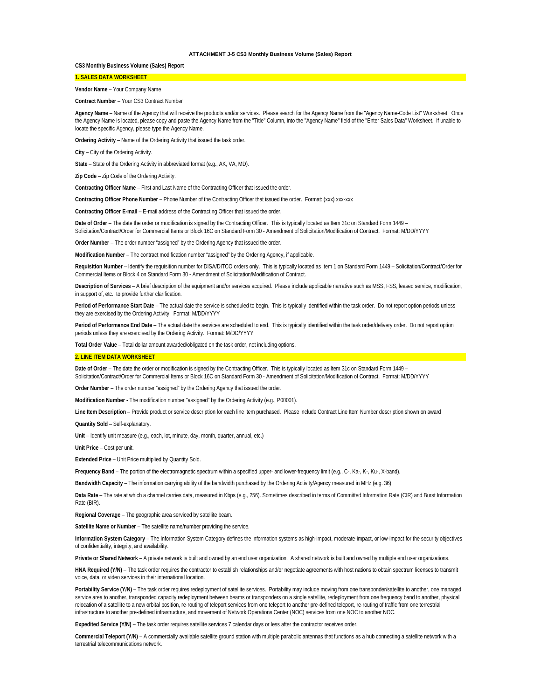# **ATTACHMENT J-5 CS3 Monthly Business Volume (Sales) Report**

**CS3 Monthly Business Volume (Sales) Report**

# **1. SALES DATA WORKSHEET**

**Vendor Name** – Your Company Name

**Contract Number** – Your CS3 Contract Number

**Agency Name** – Name of the Agency that will receive the products and/or services. Please search for the Agency Name from the "Agency Name-Code List" Worksheet. Once the Agency Name is located, please copy and paste the Agency Name from the "Title" Column, into the "Agency Name" field of the "Enter Sales Data" Worksheet. If unable to locate the specific Agency, please type the Agency Name.

**Ordering Activity** – Name of the Ordering Activity that issued the task order.

**City** – City of the Ordering Activity.

**State** – State of the Ordering Activity in abbreviated format (e.g., AK, VA, MD).

**Zip Code** – Zip Code of the Ordering Activity.

**Contracting Officer Name** – First and Last Name of the Contracting Officer that issued the order.

**Contracting Officer Phone Number** – Phone Number of the Contracting Officer that issued the order. Format: (xxx) xxx-xxx

**Contracting Officer E-mail** – E-mail address of the Contracting Officer that issued the order.

**Date of Order** – The date the order or modification is signed by the Contracting Officer. This is typically located as Item 31c on Standard Form 1449 – Solicitation/Contract/Order for Commercial Items or Block 16C on Standard Form 30 - Amendment of Solicitation/Modification of Contract. Format: M/DD/YYYY

**Order Number** – The order number "assigned" by the Ordering Agency that issued the order.

**Modification Number** – The contract modification number "assigned" by the Ordering Agency, if applicable.

**Requisition Number** – Identify the requisition number for DISA/DITCO orders only. This is typically located as Item 1 on Standard Form 1449 – Solicitation/Contract/Order for Commercial Items or Block 4 on Standard Form 30 - Amendment of Solicitation/Modification of Contract.

**Description of Services** – A brief description of the equipment and/or services acquired. Please include applicable narrative such as MSS, FSS, leased service, modification, in support of, etc., to provide further clarification.

**Period of Performance Start Date** – The actual date the service is scheduled to begin. This is typically identified within the task order. Do not report option periods unless they are exercised by the Ordering Activity. Format: M/DD/YYYY

HNA Required (Y/N) – The task order requires the contractor to establish relationships and/or negotiate agreements with host nations to obtain spectrum licenses to transmit voice, data, or video services in their international location.

**Period of Performance End Date** – The actual date the services are scheduled to end. This is typically identified within the task order/delivery order. Do not report option periods unless they are exercised by the Ordering Activity. Format: M/DD/YYYY

**Total Order Value** – Total dollar amount awarded/obligated on the task order, not including options.

# **2. LINE ITEM DATA WORKSHEET**

**Portability Service (Y/N)** – The task order requires redeployment of satellite services. Portability may include moving from one transponder/satellite to another, one managed service area to another, transponded capacity redeployment between beams or transponders on a single satellite, redeployment from one frequency band to another, physical relocation of a satellite to a new orbital position, re-routing of teleport services from one teleport to another pre-defined teleport, re-routing of traffic from one terrestrial infrastructure to another pre-defined infrastructure, and movement of Network Operations Center (NOC) services from one NOC to another NOC.

**Date of Order** – The date the order or modification is signed by the Contracting Officer. This is typically located as Item 31c on Standard Form 1449 – Solicitation/Contract/Order for Commercial Items or Block 16C on Standard Form 30 - Amendment of Solicitation/Modification of Contract. Format: M/DD/YYYY

**Order Number** – The order number "assigned" by the Ordering Agency that issued the order.

**Modification Number** - The modification number "assigned" by the Ordering Activity (e.g., P00001).

**Line Item Description** – Provide product or service description for each line item purchased. Please include Contract Line Item Number description shown on award **Quantity Sold** – Self-explanatory.

**Unit** – Identify unit measure (e.g., each, lot, minute, day, month, quarter, annual, etc.)

**Unit Price** – Cost per unit.

**Extended Price** – Unit Price multiplied by Quantity Sold.

**Frequency Band** – The portion of the electromagnetic spectrum within a specified upper- and lower-frequency limit (e.g., C-, Ka-, K-, Ku-, X-band).

**Bandwidth Capacity** – The information carrying ability of the bandwidth purchased by the Ordering Activity/Agency measured in MHz (e.g. 36).

**Data Rate** – The rate at which a channel carries data, measured in Kbps (e.g., 256). Sometimes described in terms of Committed Information Rate (CIR) and Burst Information Rate (BIR).

**Regional Coverage** – The geographic area serviced by satellite beam.

**Satellite Name or Number** – The satellite name/number providing the service.

**Information System Category** – The Information System Category defines the information systems as high-impact, moderate-impact, or low-impact for the security objectives of confidentiality, integrity, and availability.

**Private or Shared Network** – A private network is built and owned by an end user organization. A shared network is built and owned by multiple end user organizations.

**Expedited Service (Y/N)** – The task order requires satellite services 7 calendar days or less after the contractor receives order.

**Commercial Teleport (Y/N)** – A commercially available satellite ground station with multiple parabolic antennas that functions as a hub connecting a satellite network with a terrestrial telecommunications network.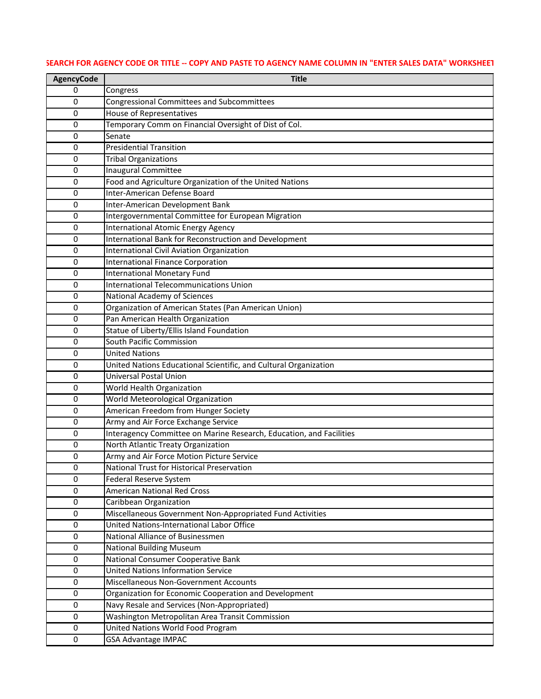| <b>AgencyCode</b> | <b>Title</b>                                                                                           |
|-------------------|--------------------------------------------------------------------------------------------------------|
| 0                 | Congress                                                                                               |
| 0                 | <b>Congressional Committees and Subcommittees</b>                                                      |
| 0                 | House of Representatives                                                                               |
| 0                 | Temporary Comm on Financial Oversight of Dist of Col.                                                  |
| 0                 | Senate                                                                                                 |
| $\mathbf 0$       | <b>Presidential Transition</b>                                                                         |
| 0                 | <b>Tribal Organizations</b>                                                                            |
| 0                 | <b>Inaugural Committee</b>                                                                             |
| 0                 | Food and Agriculture Organization of the United Nations                                                |
| 0                 | Inter-American Defense Board                                                                           |
| $\mathbf 0$       | Inter-American Development Bank                                                                        |
| 0                 | Intergovernmental Committee for European Migration                                                     |
| 0                 | <b>International Atomic Energy Agency</b>                                                              |
| 0                 | International Bank for Reconstruction and Development                                                  |
| 0                 | <b>International Civil Aviation Organization</b>                                                       |
| $\mathbf 0$       | <b>International Finance Corporation</b>                                                               |
| 0                 | <b>International Monetary Fund</b>                                                                     |
| 0                 | <b>International Telecommunications Union</b>                                                          |
| 0                 | National Academy of Sciences                                                                           |
| 0                 | Organization of American States (Pan American Union)                                                   |
| 0                 | Pan American Health Organization                                                                       |
| 0                 | Statue of Liberty/Ellis Island Foundation                                                              |
| $\mathbf 0$       | South Pacific Commission                                                                               |
| $\mathbf 0$       | <b>United Nations</b>                                                                                  |
| 0                 | United Nations Educational Scientific, and Cultural Organization                                       |
| 0                 | <b>Universal Postal Union</b>                                                                          |
| 0                 | World Health Organization                                                                              |
| 0                 | World Meteorological Organization                                                                      |
| $\mathbf 0$       | American Freedom from Hunger Society                                                                   |
| 0                 | Army and Air Force Exchange Service                                                                    |
| 0                 | Interagency Committee on Marine Research, Education, and Facilities                                    |
| 0                 | North Atlantic Treaty Organization                                                                     |
| 0                 | Army and Air Force Motion Picture Service                                                              |
| $\mathbf 0$       | National Trust for Historical Preservation                                                             |
| 0                 | Federal Reserve System                                                                                 |
| $\mathbf 0$       | <b>American National Red Cross</b>                                                                     |
| 0                 | Caribbean Organization                                                                                 |
| 0                 | Miscellaneous Government Non-Appropriated Fund Activities<br>United Nations-International Labor Office |
| $\mathbf 0$       |                                                                                                        |
| 0                 | National Alliance of Businessmen                                                                       |
| $\mathbf 0$       | <b>National Building Museum</b>                                                                        |
| 0                 | National Consumer Cooperative Bank<br><b>United Nations Information Service</b>                        |
| 0                 |                                                                                                        |
| 0                 | Miscellaneous Non-Government Accounts                                                                  |
| 0<br>$\mathbf 0$  | Organization for Economic Cooperation and Development<br>Navy Resale and Services (Non-Appropriated)   |
|                   |                                                                                                        |
| 0<br>0            | Washington Metropolitan Area Transit Commission<br>United Nations World Food Program                   |
|                   |                                                                                                        |
| $\mathbf 0$       | <b>GSA Advantage IMPAC</b>                                                                             |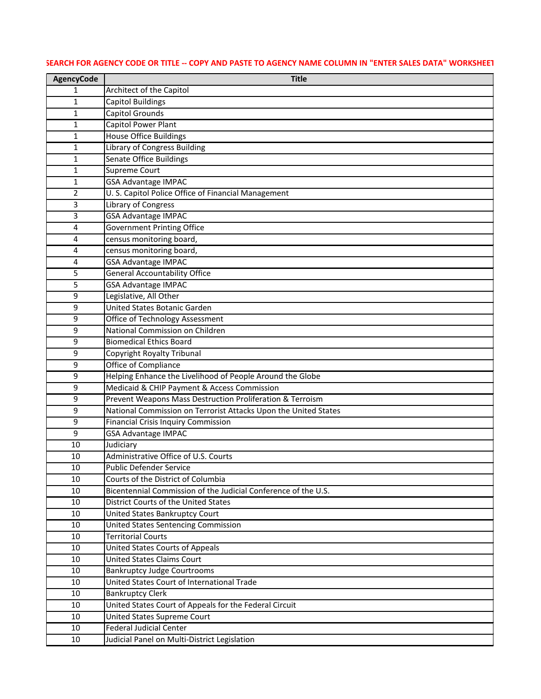| Architect of the Capitol<br>1                                              |  |
|----------------------------------------------------------------------------|--|
| <b>Capitol Buildings</b><br>1                                              |  |
| Capitol Grounds<br>$\mathbf 1$                                             |  |
| Capitol Power Plant<br>1                                                   |  |
| <b>House Office Buildings</b><br>1                                         |  |
| <b>Library of Congress Building</b><br>1                                   |  |
| <b>Senate Office Buildings</b><br>1                                        |  |
| <b>Supreme Court</b><br>1                                                  |  |
| <b>GSA Advantage IMPAC</b><br>1                                            |  |
| U. S. Capitol Police Office of Financial Management<br>2                   |  |
| Library of Congress<br>3                                                   |  |
| <b>GSA Advantage IMPAC</b><br>3                                            |  |
| <b>Government Printing Office</b><br>4                                     |  |
| census monitoring board,<br>4                                              |  |
| census monitoring board,<br>4                                              |  |
| <b>GSA Advantage IMPAC</b><br>4                                            |  |
| <b>General Accountability Office</b><br>5                                  |  |
| 5<br><b>GSA Advantage IMPAC</b>                                            |  |
| Legislative, All Other<br>9                                                |  |
| United States Botanic Garden<br>9                                          |  |
| Office of Technology Assessment<br>9                                       |  |
| National Commission on Children<br>9                                       |  |
| <b>Biomedical Ethics Board</b><br>9                                        |  |
| Copyright Royalty Tribunal<br>9                                            |  |
| Office of Compliance<br>9                                                  |  |
| Helping Enhance the Livelihood of People Around the Globe<br>9             |  |
| Medicaid & CHIP Payment & Access Commission<br>9                           |  |
| Prevent Weapons Mass Destruction Proliferation & Terroism<br>9             |  |
| National Commission on Terrorist Attacks Upon the United States<br>9       |  |
| <b>Financial Crisis Inquiry Commission</b><br>9                            |  |
| 9<br><b>GSA Advantage IMPAC</b>                                            |  |
| Judiciary<br>10<br>Administrative Office of U.S. Courts                    |  |
| 10<br><b>Public Defender Service</b>                                       |  |
| 10<br>Courts of the District of Columbia                                   |  |
| 10<br>Bicentennial Commission of the Judicial Conference of the U.S.<br>10 |  |
| <b>District Courts of the United States</b><br>10                          |  |
| 10<br>United States Bankruptcy Court                                       |  |
| United States Sentencing Commission<br>10                                  |  |
| <b>Territorial Courts</b><br>10                                            |  |
| United States Courts of Appeals<br>10                                      |  |
| <b>United States Claims Court</b><br>10                                    |  |
| <b>Bankruptcy Judge Courtrooms</b><br>10                                   |  |
| United States Court of International Trade<br>10                           |  |
| <b>Bankruptcy Clerk</b><br>10                                              |  |
| United States Court of Appeals for the Federal Circuit<br>10               |  |
| United States Supreme Court<br>10                                          |  |
| <b>Federal Judicial Center</b><br>10                                       |  |
| 10<br>Judicial Panel on Multi-District Legislation                         |  |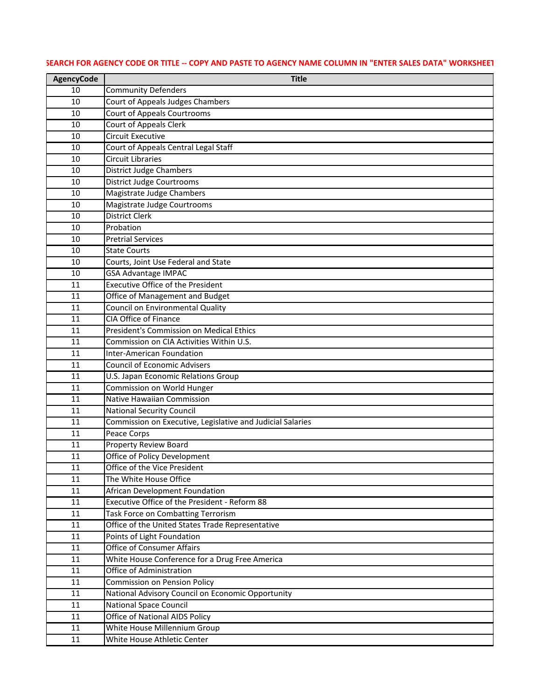| <b>AgencyCode</b> | <b>Title</b>                                                                           |
|-------------------|----------------------------------------------------------------------------------------|
| 10                | <b>Community Defenders</b>                                                             |
| 10                | Court of Appeals Judges Chambers                                                       |
| 10                | <b>Court of Appeals Courtrooms</b>                                                     |
| 10                | Court of Appeals Clerk                                                                 |
| 10                | <b>Circuit Executive</b>                                                               |
| 10                | Court of Appeals Central Legal Staff                                                   |
| 10                | <b>Circuit Libraries</b>                                                               |
| 10                | <b>District Judge Chambers</b>                                                         |
| 10                | <b>District Judge Courtrooms</b>                                                       |
| 10                | Magistrate Judge Chambers                                                              |
| 10                | Magistrate Judge Courtrooms                                                            |
| 10                | <b>District Clerk</b>                                                                  |
| 10                | Probation                                                                              |
| 10                | <b>Pretrial Services</b>                                                               |
| 10                | <b>State Courts</b>                                                                    |
| 10                | Courts, Joint Use Federal and State                                                    |
| 10                | <b>GSA Advantage IMPAC</b>                                                             |
| 11                | <b>Executive Office of the President</b>                                               |
| 11                | Office of Management and Budget                                                        |
| 11                | <b>Council on Environmental Quality</b>                                                |
| 11                | <b>CIA Office of Finance</b>                                                           |
| 11                | President's Commission on Medical Ethics                                               |
| 11                | Commission on CIA Activities Within U.S.                                               |
| 11                | <b>Inter-American Foundation</b>                                                       |
| 11                | <b>Council of Economic Advisers</b>                                                    |
| 11                | U.S. Japan Economic Relations Group                                                    |
| 11                | Commission on World Hunger                                                             |
| 11                | Native Hawaiian Commission                                                             |
| 11                | <b>National Security Council</b>                                                       |
| 11                | Commission on Executive, Legislative and Judicial Salaries                             |
| 11                | Peace Corps                                                                            |
| 11                | <b>Property Review Board</b>                                                           |
| 11                | <b>Office of Policy Development</b>                                                    |
| 11                | Office of the Vice President                                                           |
| 11                | The White House Office                                                                 |
| 11                | African Development Foundation                                                         |
| 11                | Executive Office of the President - Reform 88                                          |
| 11<br>11          | Task Force on Combatting Terrorism<br>Office of the United States Trade Representative |
| 11                | Points of Light Foundation                                                             |
| 11                | <b>Office of Consumer Affairs</b>                                                      |
| 11                | White House Conference for a Drug Free America                                         |
| 11                | Office of Administration                                                               |
| 11                | <b>Commission on Pension Policy</b>                                                    |
| 11                | National Advisory Council on Economic Opportunity                                      |
| 11                | <b>National Space Council</b>                                                          |
| 11                | <b>Office of National AIDS Policy</b>                                                  |
| 11                | White House Millennium Group                                                           |
| 11                | White House Athletic Center                                                            |
|                   |                                                                                        |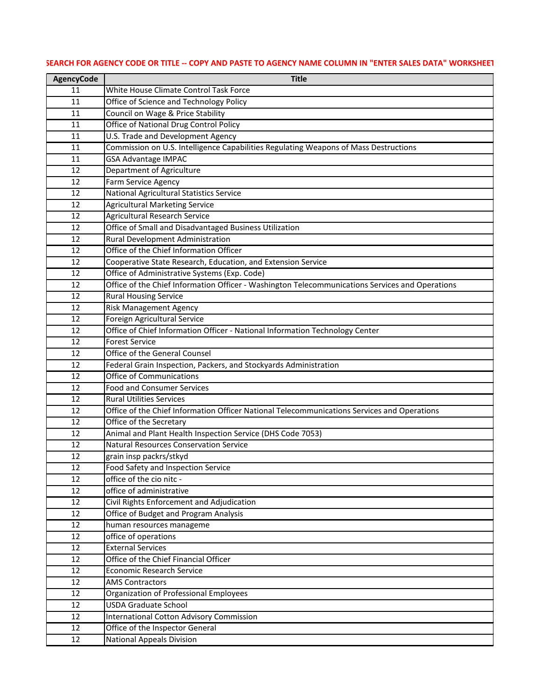| <b>AgencyCode</b> | <b>Title</b>                                                                                    |
|-------------------|-------------------------------------------------------------------------------------------------|
| 11                | White House Climate Control Task Force                                                          |
| 11                | Office of Science and Technology Policy                                                         |
| 11                | Council on Wage & Price Stability                                                               |
| 11                | Office of National Drug Control Policy                                                          |
| 11                | U.S. Trade and Development Agency                                                               |
| 11                | Commission on U.S. Intelligence Capabilities Regulating Weapons of Mass Destructions            |
| 11                | <b>GSA Advantage IMPAC</b>                                                                      |
| 12                | Department of Agriculture                                                                       |
| 12                | Farm Service Agency                                                                             |
| 12                | National Agricultural Statistics Service                                                        |
| 12                | <b>Agricultural Marketing Service</b>                                                           |
| 12                | <b>Agricultural Research Service</b>                                                            |
| 12                | Office of Small and Disadvantaged Business Utilization                                          |
| 12                | Rural Development Administration                                                                |
| 12                | Office of the Chief Information Officer                                                         |
| 12                | Cooperative State Research, Education, and Extension Service                                    |
| 12                | Office of Administrative Systems (Exp. Code)                                                    |
| 12                | Office of the Chief Information Officer - Washington Telecommunications Services and Operations |
| 12                | <b>Rural Housing Service</b>                                                                    |
| 12                | <b>Risk Management Agency</b>                                                                   |
| 12                | Foreign Agricultural Service                                                                    |
| 12                | Office of Chief Information Officer - National Information Technology Center                    |
| 12                | <b>Forest Service</b>                                                                           |
| 12                | Office of the General Counsel                                                                   |
| 12                | Federal Grain Inspection, Packers, and Stockyards Administration                                |
| 12                | <b>Office of Communications</b>                                                                 |
| 12                | <b>Food and Consumer Services</b>                                                               |
| 12                | <b>Rural Utilities Services</b>                                                                 |
| 12                | Office of the Chief Information Officer National Telecommunications Services and Operations     |
| 12                | Office of the Secretary                                                                         |
| 12                | Animal and Plant Health Inspection Service (DHS Code 7053)                                      |
| 12                | <b>Natural Resources Conservation Service</b>                                                   |
| 12                | grain insp packrs/stkyd                                                                         |
| 12                | Food Safety and Inspection Service                                                              |
| 12                | office of the cio nitc -                                                                        |
| 12                | office of administrative                                                                        |
| 12                | Civil Rights Enforcement and Adjudication                                                       |
| 12                | Office of Budget and Program Analysis                                                           |
| 12<br>12          | human resources manageme                                                                        |
| 12                | office of operations<br><b>External Services</b>                                                |
|                   | Office of the Chief Financial Officer                                                           |
| 12<br>12          | <b>Economic Research Service</b>                                                                |
| 12                | <b>AMS Contractors</b>                                                                          |
| 12                | Organization of Professional Employees                                                          |
| 12                | <b>USDA Graduate School</b>                                                                     |
| 12                | <b>International Cotton Advisory Commission</b>                                                 |
| 12                | Office of the Inspector General                                                                 |
| 12                | <b>National Appeals Division</b>                                                                |
|                   |                                                                                                 |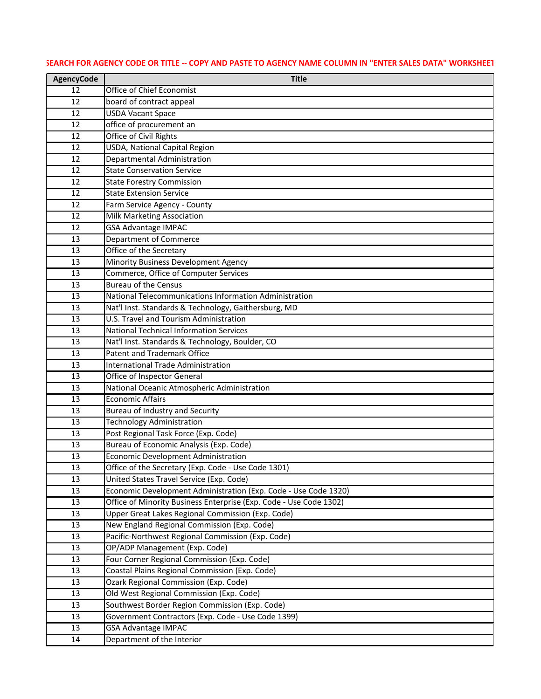# **AgencyCode Title Office of Chief Economist** 12 board of contract appeal **USDA Vacant Space office of procurement an Office of Civil Rights** 12 USDA, National Capital Region Departmental Administration 12 State Conservation Service 12 State Forestry Commission 12 State Extension Service **Farm Service Agency - County**  Milk Marketing Association GSA Advantage IMPAC Department of Commerce 13 Office of the Secretary 13 Minority Business Development Agency Commerce, Office of Computer Services 13 Bureau of the Census National Telecommunications Information Administration 13 Nat'l Inst. Standards & Technology, Gaithersburg, MD U.S. Travel and Tourism Administration 13 National Technical Information Services 13 | Nat'l Inst. Standards & Technology, Boulder, CO Patent and Trademark Office 13 International Trade Administration Office of Inspector General 13 National Oceanic Atmospheric Administration Economic Affairs 13 Bureau of Industry and Security 13 Technology Administration Post Regional Task Force (Exp. Code) Bureau of Economic Analysis (Exp. Code) Economic Development Administration Office of the Secretary (Exp. Code - Use Code 1301) United States Travel Service (Exp. Code) Economic Development Administration (Exp. Code - Use Code 1320) **Office of Minority Business Enterprise (Exp. Code - Use Code 1302)**  Upper Great Lakes Regional Commission (Exp. Code) 13 New England Regional Commission (Exp. Code) Pacific-Northwest Regional Commission (Exp. Code) OP/ADP Management (Exp. Code) Four Corner Regional Commission (Exp. Code) Coastal Plains Regional Commission (Exp. Code) Ozark Regional Commission (Exp. Code) Old West Regional Commission (Exp. Code) 13 Southwest Border Region Commission (Exp. Code) Government Contractors (Exp. Code - Use Code 1399) GSA Advantage IMPAC Department of the Interior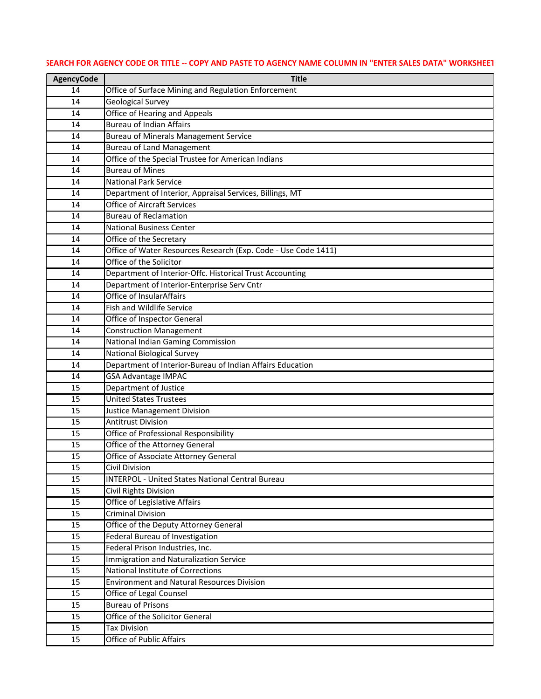| <b>AgencyCode</b> | <b>Title</b>                                                   |
|-------------------|----------------------------------------------------------------|
| 14                | Office of Surface Mining and Regulation Enforcement            |
| 14                | <b>Geological Survey</b>                                       |
| 14                | <b>Office of Hearing and Appeals</b>                           |
| 14                | <b>Bureau of Indian Affairs</b>                                |
| 14                | <b>Bureau of Minerals Management Service</b>                   |
| 14                | <b>Bureau of Land Management</b>                               |
| 14                | Office of the Special Trustee for American Indians             |
| 14                | <b>Bureau of Mines</b>                                         |
| 14                | <b>National Park Service</b>                                   |
| 14                | Department of Interior, Appraisal Services, Billings, MT       |
| 14                | <b>Office of Aircraft Services</b>                             |
| 14                | <b>Bureau of Reclamation</b>                                   |
| 14                | <b>National Business Center</b>                                |
| 14                | Office of the Secretary                                        |
| 14                | Office of Water Resources Research (Exp. Code - Use Code 1411) |
| 14                | Office of the Solicitor                                        |
| 14                | Department of Interior-Offc. Historical Trust Accounting       |
| 14                | Department of Interior-Enterprise Serv Cntr                    |
| 14                | <b>Office of InsularAffairs</b>                                |
| 14                | <b>Fish and Wildlife Service</b>                               |
| 14                | Office of Inspector General                                    |
| 14                | <b>Construction Management</b>                                 |
| 14                | <b>National Indian Gaming Commission</b>                       |
| 14                | <b>National Biological Survey</b>                              |
| 14                | Department of Interior-Bureau of Indian Affairs Education      |
| 14                | <b>GSA Advantage IMPAC</b>                                     |
| 15                | Department of Justice                                          |
| 15                | <b>United States Trustees</b>                                  |
| 15                | Justice Management Division                                    |
| 15                | <b>Antitrust Division</b>                                      |
| 15                | Office of Professional Responsibility                          |
| 15                | Office of the Attorney General                                 |
| 15                | Office of Associate Attorney General                           |
| 15                | Civil Division                                                 |
| 15                | <b>INTERPOL - United States National Central Bureau</b>        |
| 15                | Civil Rights Division                                          |
| 15                | Office of Legislative Affairs                                  |
| 15                | <b>Criminal Division</b>                                       |
| 15                | Office of the Deputy Attorney General                          |
| 15                | Federal Bureau of Investigation                                |
| 15                | Federal Prison Industries, Inc.                                |
| 15                | Immigration and Naturalization Service                         |
| 15                | <b>National Institute of Corrections</b>                       |
| 15                | <b>Environment and Natural Resources Division</b>              |
| 15                | Office of Legal Counsel                                        |
| 15                | <b>Bureau of Prisons</b>                                       |
| 15                | Office of the Solicitor General                                |
| 15                | <b>Tax Division</b>                                            |
| 15                | Office of Public Affairs                                       |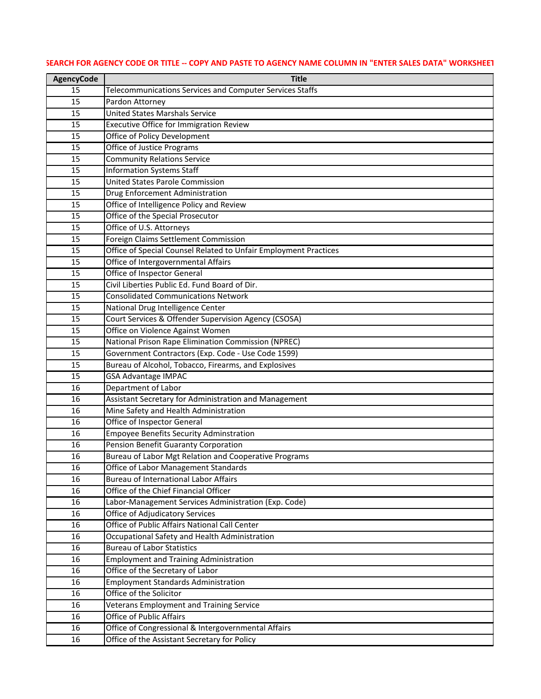| <b>AgencyCode</b> | <b>Title</b>                                                                            |
|-------------------|-----------------------------------------------------------------------------------------|
| 15                | Telecommunications Services and Computer Services Staffs                                |
| 15                | Pardon Attorney                                                                         |
| 15                | <b>United States Marshals Service</b>                                                   |
| 15                | Executive Office for Immigration Review                                                 |
| 15                | Office of Policy Development                                                            |
| 15                | Office of Justice Programs                                                              |
| 15                | <b>Community Relations Service</b>                                                      |
| 15                | <b>Information Systems Staff</b>                                                        |
| 15                | <b>United States Parole Commission</b>                                                  |
| 15                | Drug Enforcement Administration                                                         |
| 15                | Office of Intelligence Policy and Review                                                |
| 15                | Office of the Special Prosecutor                                                        |
| 15                | Office of U.S. Attorneys                                                                |
| 15                | Foreign Claims Settlement Commission                                                    |
| 15                | Office of Special Counsel Related to Unfair Employment Practices                        |
| 15                | Office of Intergovernmental Affairs                                                     |
| 15                | Office of Inspector General                                                             |
| 15                | Civil Liberties Public Ed. Fund Board of Dir.                                           |
| 15                | <b>Consolidated Communications Network</b>                                              |
| 15                | National Drug Intelligence Center                                                       |
| 15                | Court Services & Offender Supervision Agency (CSOSA)                                    |
| 15                | Office on Violence Against Women                                                        |
| 15                | National Prison Rape Elimination Commission (NPREC)                                     |
| 15                | Government Contractors (Exp. Code - Use Code 1599)                                      |
| 15                | Bureau of Alcohol, Tobacco, Firearms, and Explosives                                    |
| 15                | <b>GSA Advantage IMPAC</b>                                                              |
| 16                | Department of Labor                                                                     |
| 16                | Assistant Secretary for Administration and Management                                   |
| 16                | Mine Safety and Health Administration                                                   |
| 16                | Office of Inspector General                                                             |
| 16                | <b>Empoyee Benefits Security Adminstration</b>                                          |
| 16                | Pension Benefit Guaranty Corporation                                                    |
| 16                | Bureau of Labor Mgt Relation and Cooperative Programs                                   |
| 16                | Office of Labor Management Standards<br><b>Bureau of International Labor Affairs</b>    |
| 16<br>16          | Office of the Chief Financial Officer                                                   |
|                   |                                                                                         |
| 16<br>16          | Labor-Management Services Administration (Exp. Code)<br>Office of Adjudicatory Services |
| 16                | Office of Public Affairs National Call Center                                           |
| 16                | Occupational Safety and Health Administration                                           |
| 16                | <b>Bureau of Labor Statistics</b>                                                       |
| 16                | <b>Employment and Training Administration</b>                                           |
| 16                | Office of the Secretary of Labor                                                        |
| 16                | <b>Employment Standards Administration</b>                                              |
| 16                | Office of the Solicitor                                                                 |
| 16                | Veterans Employment and Training Service                                                |
| 16                | Office of Public Affairs                                                                |
| 16                | Office of Congressional & Intergovernmental Affairs                                     |
| 16                | Office of the Assistant Secretary for Policy                                            |
|                   |                                                                                         |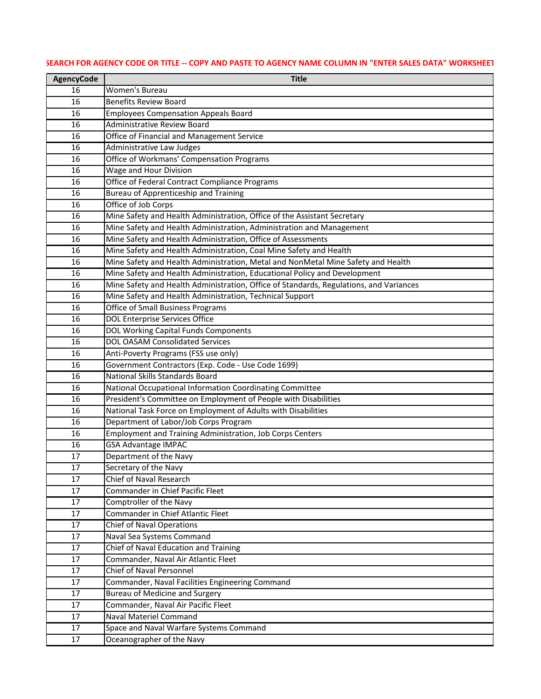| <b>AgencyCode</b> | <b>Title</b>                                                                           |
|-------------------|----------------------------------------------------------------------------------------|
| 16                | Women's Bureau                                                                         |
| 16                | <b>Benefits Review Board</b>                                                           |
| 16                | <b>Employees Compensation Appeals Board</b>                                            |
| 16                | <b>Administrative Review Board</b>                                                     |
| 16                | Office of Financial and Management Service                                             |
| 16                | Administrative Law Judges                                                              |
| 16                | Office of Workmans' Compensation Programs                                              |
| 16                | Wage and Hour Division                                                                 |
| 16                | Office of Federal Contract Compliance Programs                                         |
| 16                | <b>Bureau of Apprenticeship and Training</b>                                           |
| 16                | Office of Job Corps                                                                    |
| 16                | Mine Safety and Health Administration, Office of the Assistant Secretary               |
| 16                | Mine Safety and Health Administration, Administration and Management                   |
| 16                | Mine Safety and Health Administration, Office of Assessments                           |
| 16                | Mine Safety and Health Administration, Coal Mine Safety and Health                     |
| 16                | Mine Safety and Health Administration, Metal and NonMetal Mine Safety and Health       |
| 16                | Mine Safety and Health Administration, Educational Policy and Development              |
| 16                | Mine Safety and Health Administration, Office of Standards, Regulations, and Variances |
| 16                | Mine Safety and Health Administration, Technical Support                               |
| 16                | <b>Office of Small Business Programs</b>                                               |
| 16                | <b>DOL Enterprise Services Office</b>                                                  |
| 16                | DOL Working Capital Funds Components                                                   |
| 16                | <b>DOL OASAM Consolidated Services</b>                                                 |
| 16                | Anti-Poverty Programs (FSS use only)                                                   |
| 16                | Government Contractors (Exp. Code - Use Code 1699)                                     |
| 16                | <b>National Skills Standards Board</b>                                                 |
| 16                | National Occupational Information Coordinating Committee                               |
| 16                | President's Committee on Employment of People with Disabilities                        |
| 16                | National Task Force on Employment of Adults with Disabilities                          |
| 16                | Department of Labor/Job Corps Program                                                  |
| 16                | <b>Employment and Training Administration, Job Corps Centers</b>                       |
| 16                | <b>GSA Advantage IMPAC</b>                                                             |
| 17                | Department of the Navy                                                                 |
| 17                | Secretary of the Navy                                                                  |
| 17                | <b>Chief of Naval Research</b>                                                         |
| 17                | Commander in Chief Pacific Fleet                                                       |
| 17<br>17          | Comptroller of the Navy<br><b>Commander in Chief Atlantic Fleet</b>                    |
| 17                | <b>Chief of Naval Operations</b>                                                       |
| 17                | Naval Sea Systems Command                                                              |
| 17                | Chief of Naval Education and Training                                                  |
| 17                | Commander, Naval Air Atlantic Fleet                                                    |
| 17                | <b>Chief of Naval Personnel</b>                                                        |
| 17                | Commander, Naval Facilities Engineering Command                                        |
| 17                | <b>Bureau of Medicine and Surgery</b>                                                  |
| 17                | Commander, Naval Air Pacific Fleet                                                     |
| 17                | <b>Naval Materiel Command</b>                                                          |
| 17                | Space and Naval Warfare Systems Command                                                |
| 17                | Oceanographer of the Navy                                                              |
|                   |                                                                                        |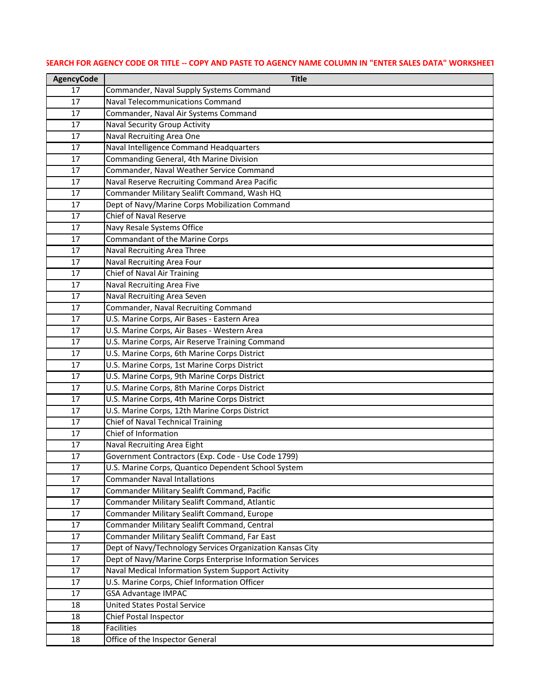| <b>AgencyCode</b> | <b>Title</b>                                              |
|-------------------|-----------------------------------------------------------|
| 17                | Commander, Naval Supply Systems Command                   |
| 17                | <b>Naval Telecommunications Command</b>                   |
| 17                | Commander, Naval Air Systems Command                      |
| 17                | <b>Naval Security Group Activity</b>                      |
| 17                | Naval Recruiting Area One                                 |
| 17                | Naval Intelligence Command Headquarters                   |
| 17                | Commanding General, 4th Marine Division                   |
| 17                | Commander, Naval Weather Service Command                  |
| 17                | Naval Reserve Recruiting Command Area Pacific             |
| 17                | Commander Military Sealift Command, Wash HQ               |
| 17                | Dept of Navy/Marine Corps Mobilization Command            |
| 17                | <b>Chief of Naval Reserve</b>                             |
| 17                | Navy Resale Systems Office                                |
| 17                | Commandant of the Marine Corps                            |
| 17                | Naval Recruiting Area Three                               |
| 17                | Naval Recruiting Area Four                                |
| 17                | Chief of Naval Air Training                               |
| 17                | <b>Naval Recruiting Area Five</b>                         |
| 17                | Naval Recruiting Area Seven                               |
| 17                | Commander, Naval Recruiting Command                       |
| 17                | U.S. Marine Corps, Air Bases - Eastern Area               |
| 17                | U.S. Marine Corps, Air Bases - Western Area               |
| 17                | U.S. Marine Corps, Air Reserve Training Command           |
| 17                | U.S. Marine Corps, 6th Marine Corps District              |
| 17                | U.S. Marine Corps, 1st Marine Corps District              |
| 17                | U.S. Marine Corps, 9th Marine Corps District              |
| 17                | U.S. Marine Corps, 8th Marine Corps District              |
| 17                | U.S. Marine Corps, 4th Marine Corps District              |
| 17                | U.S. Marine Corps, 12th Marine Corps District             |
| 17                | <b>Chief of Naval Technical Training</b>                  |
| 17                | Chief of Information                                      |
| 17                | Naval Recruiting Area Eight                               |
| 17                | Government Contractors (Exp. Code - Use Code 1799)        |
| 17                | U.S. Marine Corps, Quantico Dependent School System       |
| 17                | <b>Commander Naval Intallations</b>                       |
| 17                | Commander Military Sealift Command, Pacific               |
| 17                | Commander Military Sealift Command, Atlantic              |
| 17                | Commander Military Sealift Command, Europe                |
| 17                | Commander Military Sealift Command, Central               |
| 17                | Commander Military Sealift Command, Far East              |
| 17                | Dept of Navy/Technology Services Organization Kansas City |
| 17                | Dept of Navy/Marine Corps Enterprise Information Services |
| 17                | Naval Medical Information System Support Activity         |
| 17                | U.S. Marine Corps, Chief Information Officer              |
| 17                | <b>GSA Advantage IMPAC</b>                                |
| 18                | <b>United States Postal Service</b>                       |
| 18                | Chief Postal Inspector                                    |
| 18                | <b>Facilities</b>                                         |
| 18                | Office of the Inspector General                           |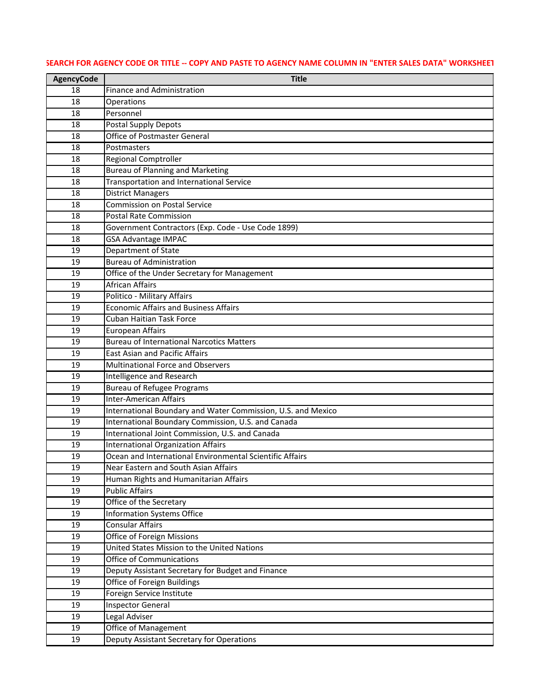| <b>AgencyCode</b> | <b>Title</b>                                                   |
|-------------------|----------------------------------------------------------------|
| 18                | Finance and Administration                                     |
| 18                | Operations                                                     |
| 18                | Personnel                                                      |
| 18                | <b>Postal Supply Depots</b>                                    |
| 18                | <b>Office of Postmaster General</b>                            |
| 18                | Postmasters                                                    |
| 18                | <b>Regional Comptroller</b>                                    |
| 18                | <b>Bureau of Planning and Marketing</b>                        |
| 18                | Transportation and International Service                       |
| 18                | <b>District Managers</b>                                       |
| 18                | Commission on Postal Service                                   |
| 18                | Postal Rate Commission                                         |
| 18                | Government Contractors (Exp. Code - Use Code 1899)             |
| 18                | <b>GSA Advantage IMPAC</b>                                     |
| 19                | Department of State                                            |
| 19                | <b>Bureau of Administration</b>                                |
| 19                | Office of the Under Secretary for Management                   |
| 19                | <b>African Affairs</b>                                         |
| 19                | Politico - Military Affairs                                    |
| 19                | <b>Economic Affairs and Business Affairs</b>                   |
| 19                | <b>Cuban Haitian Task Force</b>                                |
| 19                | <b>European Affairs</b>                                        |
| 19                | <b>Bureau of International Narcotics Matters</b>               |
| 19                | <b>East Asian and Pacific Affairs</b>                          |
| 19                | <b>Multinational Force and Observers</b>                       |
| 19                | <b>Intelligence and Research</b>                               |
| 19                | <b>Bureau of Refugee Programs</b>                              |
| 19                | <b>Inter-American Affairs</b>                                  |
| 19                | International Boundary and Water Commission, U.S. and Mexico   |
| 19                | International Boundary Commission, U.S. and Canada             |
| 19                | International Joint Commission, U.S. and Canada                |
| 19                | <b>International Organization Affairs</b>                      |
| 19                | Ocean and International Environmental Scientific Affairs       |
| 19                | Near Eastern and South Asian Affairs                           |
| 19                | Human Rights and Humanitarian Affairs<br><b>Public Affairs</b> |
| 19                |                                                                |
| 19<br>19          | Office of the Secretary<br><b>Information Systems Office</b>   |
| 19                | <b>Consular Affairs</b>                                        |
| 19                | <b>Office of Foreign Missions</b>                              |
| 19                | United States Mission to the United Nations                    |
| 19                | <b>Office of Communications</b>                                |
| 19                | Deputy Assistant Secretary for Budget and Finance              |
| 19                | Office of Foreign Buildings                                    |
| 19                | Foreign Service Institute                                      |
| 19                | <b>Inspector General</b>                                       |
| 19                | Legal Adviser                                                  |
| 19                | Office of Management                                           |
| 19                | Deputy Assistant Secretary for Operations                      |
|                   |                                                                |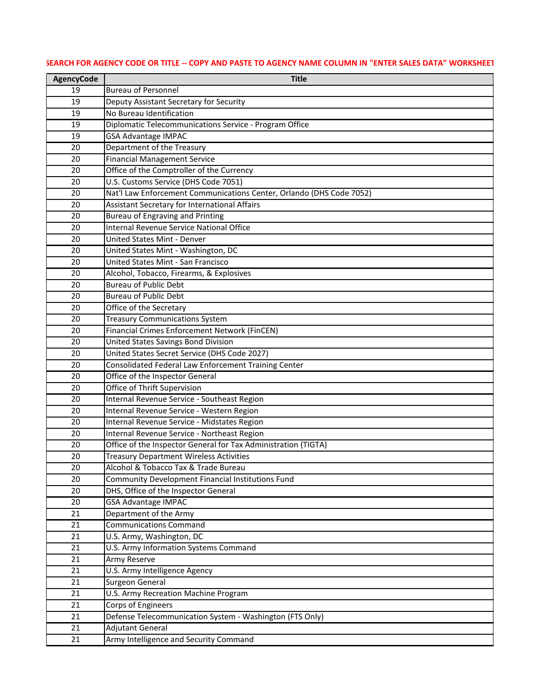| <b>AgencyCode</b> | <b>Title</b>                                                         |
|-------------------|----------------------------------------------------------------------|
| 19                | <b>Bureau of Personnel</b>                                           |
| 19                | Deputy Assistant Secretary for Security                              |
| 19                | No Bureau Identification                                             |
| 19                | Diplomatic Telecommunications Service - Program Office               |
| 19                | <b>GSA Advantage IMPAC</b>                                           |
| 20                | Department of the Treasury                                           |
| 20                | <b>Financial Management Service</b>                                  |
| 20                | Office of the Comptroller of the Currency                            |
| 20                | U.S. Customs Service (DHS Code 7051)                                 |
| 20                | Nat'l Law Enforcement Communications Center, Orlando (DHS Code 7052) |
| 20                | Assistant Secretary for International Affairs                        |
| 20                | <b>Bureau of Engraving and Printing</b>                              |
| 20                | <b>Internal Revenue Service National Office</b>                      |
| 20                | <b>United States Mint - Denver</b>                                   |
| 20                | United States Mint - Washington, DC                                  |
| 20                | <b>United States Mint - San Francisco</b>                            |
| 20                | Alcohol, Tobacco, Firearms, & Explosives                             |
| 20                | <b>Bureau of Public Debt</b>                                         |
| 20                | <b>Bureau of Public Debt</b>                                         |
| 20                | Office of the Secretary                                              |
| 20                | <b>Treasury Communications System</b>                                |
| 20                | Financial Crimes Enforcement Network (FinCEN)                        |
| 20                | United States Savings Bond Division                                  |
| 20                | United States Secret Service (DHS Code 2027)                         |
| 20                | Consolidated Federal Law Enforcement Training Center                 |
| 20                | Office of the Inspector General                                      |
| 20                | Office of Thrift Supervision                                         |
| 20                | Internal Revenue Service - Southeast Region                          |
| 20                | Internal Revenue Service - Western Region                            |
| 20                | Internal Revenue Service - Midstates Region                          |
| 20                | Internal Revenue Service - Northeast Region                          |
| 20                | Office of the Inspector General for Tax Administration (TIGTA)       |
| 20                | <b>Treasury Department Wireless Activities</b>                       |
| 20                | Alcohol & Tobacco Tax & Trade Bureau                                 |
| 20                | Community Development Financial Institutions Fund                    |
| 20                | DHS, Office of the Inspector General                                 |
| 20                | <b>GSA Advantage IMPAC</b>                                           |
| 21<br>21          | Department of the Army<br><b>Communications Command</b>              |
| 21                |                                                                      |
| 21                | U.S. Army, Washington, DC<br>U.S. Army Information Systems Command   |
| 21                | Army Reserve                                                         |
| 21                | U.S. Army Intelligence Agency                                        |
| 21                | Surgeon General                                                      |
| 21                | U.S. Army Recreation Machine Program                                 |
| 21                | Corps of Engineers                                                   |
| 21                | Defense Telecommunication System - Washington (FTS Only)             |
| 21                | <b>Adjutant General</b>                                              |
| 21                | Army Intelligence and Security Command                               |
|                   |                                                                      |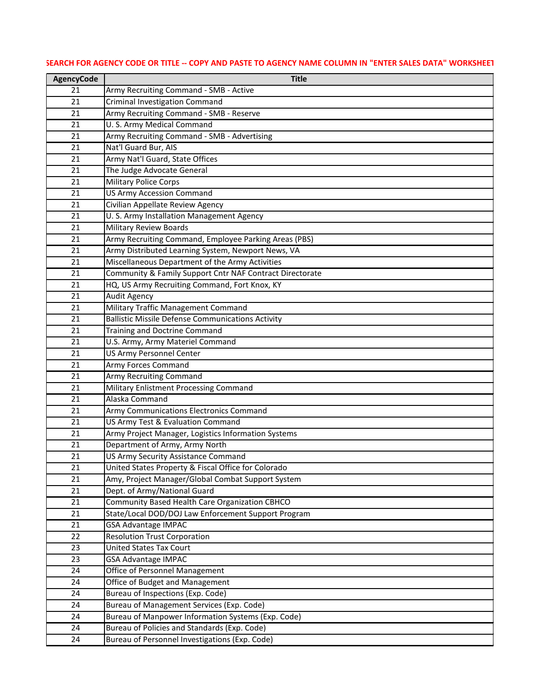| <b>AgencyCode</b> | <b>Title</b>                                                                                          |
|-------------------|-------------------------------------------------------------------------------------------------------|
| 21                | Army Recruiting Command - SMB - Active                                                                |
| 21                | <b>Criminal Investigation Command</b>                                                                 |
| 21                | Army Recruiting Command - SMB - Reserve                                                               |
| 21                | U. S. Army Medical Command                                                                            |
| 21                | Army Recruiting Command - SMB - Advertising                                                           |
| 21                | Nat'l Guard Bur, AIS                                                                                  |
| 21                | Army Nat'l Guard, State Offices                                                                       |
| 21                | The Judge Advocate General                                                                            |
| 21                | <b>Military Police Corps</b>                                                                          |
| 21                | <b>US Army Accession Command</b>                                                                      |
| 21                | Civilian Appellate Review Agency                                                                      |
| 21                | U. S. Army Installation Management Agency                                                             |
| 21                | <b>Military Review Boards</b>                                                                         |
| 21                | Army Recruiting Command, Employee Parking Areas (PBS)                                                 |
| 21                | Army Distributed Learning System, Newport News, VA                                                    |
| 21                | Miscellaneous Department of the Army Activities                                                       |
| 21                | Community & Family Support Cntr NAF Contract Directorate                                              |
| 21                | HQ, US Army Recruiting Command, Fort Knox, KY                                                         |
| 21                | <b>Audit Agency</b>                                                                                   |
| 21                | Military Traffic Management Command                                                                   |
| 21                | <b>Ballistic Missile Defense Communications Activity</b>                                              |
| 21                | Training and Doctrine Command                                                                         |
| 21                | U.S. Army, Army Materiel Command                                                                      |
| 21                | <b>US Army Personnel Center</b>                                                                       |
| 21                | <b>Army Forces Command</b>                                                                            |
| 21                | <b>Army Recruiting Command</b>                                                                        |
| 21                | <b>Military Enlistment Processing Command</b>                                                         |
| 21                | Alaska Command                                                                                        |
| 21                | Army Communications Electronics Command                                                               |
| 21                | US Army Test & Evaluation Command                                                                     |
| 21                | Army Project Manager, Logistics Information Systems                                                   |
| 21                | Department of Army, Army North                                                                        |
| 21                | US Army Security Assistance Command                                                                   |
| 21                | United States Property & Fiscal Office for Colorado                                                   |
| 21                | Amy, Project Manager/Global Combat Support System                                                     |
| 21                | Dept. of Army/National Guard                                                                          |
| 21                | Community Based Health Care Organization CBHCO<br>State/Local DOD/DOJ Law Enforcement Support Program |
| 21                | <b>GSA Advantage IMPAC</b>                                                                            |
| 21<br>22          | <b>Resolution Trust Corporation</b>                                                                   |
| 23                | <b>United States Tax Court</b>                                                                        |
| 23                | <b>GSA Advantage IMPAC</b>                                                                            |
| 24                | Office of Personnel Management                                                                        |
| 24                | Office of Budget and Management                                                                       |
| 24                | Bureau of Inspections (Exp. Code)                                                                     |
| 24                | Bureau of Management Services (Exp. Code)                                                             |
| 24                | Bureau of Manpower Information Systems (Exp. Code)                                                    |
| 24                | Bureau of Policies and Standards (Exp. Code)                                                          |
| 24                | Bureau of Personnel Investigations (Exp. Code)                                                        |
|                   |                                                                                                       |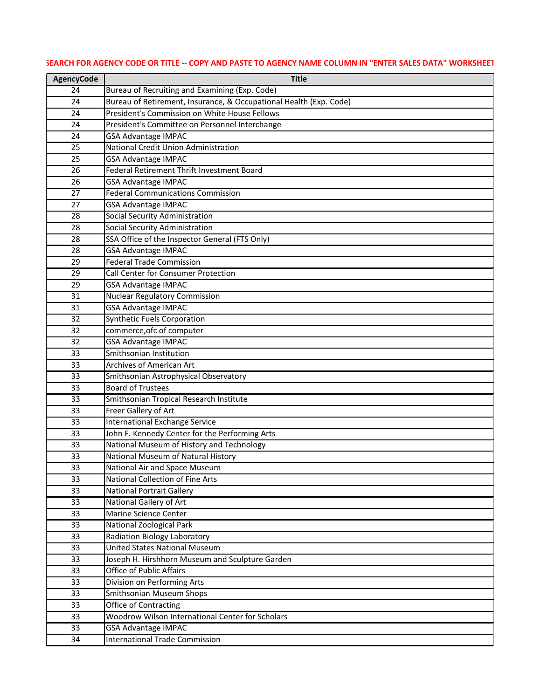| <b>AgencyCode</b> | <b>Title</b>                                                                       |
|-------------------|------------------------------------------------------------------------------------|
| 24                | Bureau of Recruiting and Examining (Exp. Code)                                     |
| 24                | Bureau of Retirement, Insurance, & Occupational Health (Exp. Code)                 |
| 24                | President's Commission on White House Fellows                                      |
| 24                | President's Committee on Personnel Interchange                                     |
| 24                | <b>GSA Advantage IMPAC</b>                                                         |
| 25                | National Credit Union Administration                                               |
| 25                | <b>GSA Advantage IMPAC</b>                                                         |
| 26                | Federal Retirement Thrift Investment Board                                         |
| 26                | <b>GSA Advantage IMPAC</b>                                                         |
| 27                | <b>Federal Communications Commission</b>                                           |
| 27                | <b>GSA Advantage IMPAC</b>                                                         |
| 28                | Social Security Administration                                                     |
| 28                | Social Security Administration                                                     |
| 28                | SSA Office of the Inspector General (FTS Only)                                     |
| 28                | <b>GSA Advantage IMPAC</b>                                                         |
| 29                | <b>Federal Trade Commission</b>                                                    |
| 29                | Call Center for Consumer Protection                                                |
| 29                | <b>GSA Advantage IMPAC</b>                                                         |
| 31                | <b>Nuclear Regulatory Commission</b>                                               |
| 31                | <b>GSA Advantage IMPAC</b>                                                         |
| 32                | <b>Synthetic Fuels Corporation</b>                                                 |
| 32                | commerce, of computer                                                              |
| 32                | <b>GSA Advantage IMPAC</b>                                                         |
| 33                | Smithsonian Institution                                                            |
| 33                | Archives of American Art                                                           |
| 33                | Smithsonian Astrophysical Observatory                                              |
| 33                | <b>Board of Trustees</b>                                                           |
| 33                | Smithsonian Tropical Research Institute                                            |
| 33                | Freer Gallery of Art                                                               |
| 33                | <b>International Exchange Service</b>                                              |
| 33                | John F. Kennedy Center for the Performing Arts                                     |
| 33                | National Museum of History and Technology                                          |
| 33                | National Museum of Natural History                                                 |
| 33                | National Air and Space Museum                                                      |
| 33                | <b>National Collection of Fine Arts</b>                                            |
| 33                | <b>National Portrait Gallery</b>                                                   |
| 33                | National Gallery of Art<br>Marine Science Center                                   |
| 33                |                                                                                    |
| 33<br>33          | National Zoological Park                                                           |
| 33                | Radiation Biology Laboratory<br><b>United States National Museum</b>               |
|                   |                                                                                    |
| 33<br>33          | Joseph H. Hirshhorn Museum and Sculpture Garden<br><b>Office of Public Affairs</b> |
| 33                | Division on Performing Arts                                                        |
| 33                | <b>Smithsonian Museum Shops</b>                                                    |
| 33                | <b>Office of Contracting</b>                                                       |
| 33                | Woodrow Wilson International Center for Scholars                                   |
| 33                | <b>GSA Advantage IMPAC</b>                                                         |
| 34                | <b>International Trade Commission</b>                                              |
|                   |                                                                                    |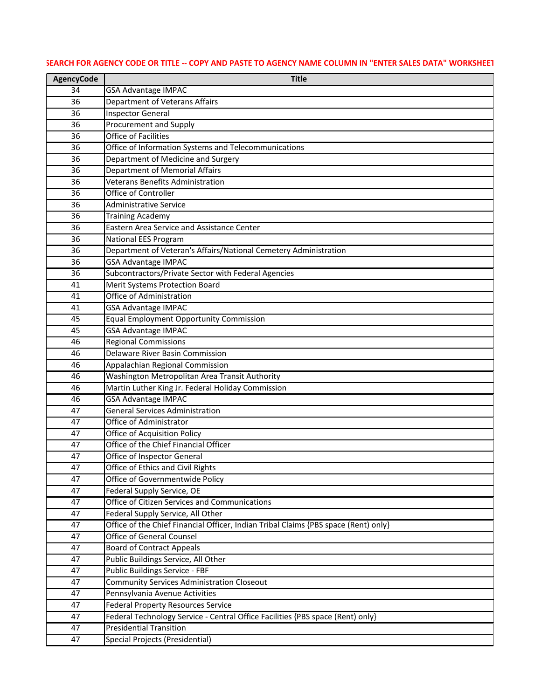# **AgencyCode Title** GSA Advantage IMPAC Department of Veterans Affairs Inspector General Procurement and Supply Office of Facilities Office of Information Systems and Telecommunications Department of Medicine and Surgery Department of Memorial Affairs Veterans Benefits Administration Office of Controller Administrative Service Training Academy Eastern Area Service and Assistance Center National EES Program Department of Veteran's Affairs/National Cemetery Administration GSA Advantage IMPAC Subcontractors/Private Sector with Federal Agencies Merit Systems Protection Board Office of Administration GSA Advantage IMPAC Equal Employment Opportunity Commission GSA Advantage IMPAC Regional Commissions Delaware River Basin Commission Appalachian Regional Commission Washington Metropolitan Area Transit Authority Martin Luther King Jr. Federal Holiday Commission GSA Advantage IMPAC General Services Administration Office of Administrator Office of Acquisition Policy Office of the Chief Financial Officer Office of Inspector General Office of Ethics and Civil Rights Office of Governmentwide Policy Federal Supply Service, OE Office of Citizen Services and Communications Federal Supply Service, All Other Office of the Chief Financial Officer, Indian Tribal Claims {PBS space (Rent) only} Office of General Counsel Board of Contract Appeals Public Buildings Service, All Other Public Buildings Service - FBF Community Services Administration Closeout Pennsylvania Avenue Activities Federal Property Resources Service Federal Technology Service - Central Office Facilities {PBS space (Rent) only} Presidential Transition Special Projects (Presidential)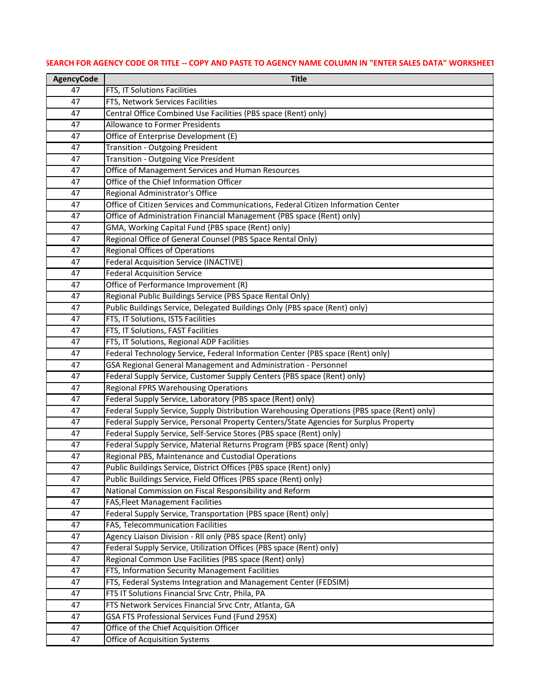| 47<br>FTS, IT Solutions Facilities<br>FTS, Network Services Facilities<br>47<br>47<br>Central Office Combined Use Facilities {PBS space (Rent) only}<br><b>Allowance to Former Presidents</b><br>47<br>Office of Enterprise Development (E)<br>47<br><b>Transition - Outgoing President</b><br>47<br><b>Transition - Outgoing Vice President</b><br>47<br>Office of Management Services and Human Resources<br>47<br>Office of the Chief Information Officer<br>47<br>Regional Administrator's Office<br>47<br>Office of Citizen Services and Communications, Federal Citizen Information Center<br>47<br>Office of Administration Financial Management {PBS space (Rent) only}<br>47<br>GMA, Working Capital Fund {PBS space (Rent) only}<br>47<br>Regional Office of General Counsel (PBS Space Rental Only)<br>47<br><b>Regional Offices of Operations</b><br>47<br><b>Federal Acquisition Service (INACTIVE)</b><br>47<br><b>Federal Acquisition Service</b><br>47<br>Office of Performance Improvement (R)<br>47<br>Regional Public Buildings Service (PBS Space Rental Only)<br>47<br>Public Buildings Service, Delegated Buildings Only {PBS space (Rent) only}<br>47<br>FTS, IT Solutions, ISTS Facilities<br>47<br>FTS, IT Solutions, FAST Facilities<br>47<br>FTS, IT Solutions, Regional ADP Facilities<br>47<br>Federal Technology Service, Federal Information Center {PBS space (Rent) only}<br>47<br>GSA Regional General Management and Administration - Personnel<br>47<br>Federal Supply Service, Customer Supply Centers {PBS space (Rent) only}<br>47<br><b>Regional FPRS Warehousing Operations</b><br>47<br>Federal Supply Service, Laboratory {PBS space (Rent) only}<br>47<br>Federal Supply Service, Supply Distribution Warehousing Operations {PBS space (Rent) only}<br>47<br>Federal Supply Service, Personal Property Centers/State Agencies for Surplus Property<br>47<br>47<br>Federal Supply Service, Self-Service Stores {PBS space (Rent) only}<br>Federal Supply Service, Material Returns Program {PBS space (Rent) only}<br>47<br>Regional PBS, Maintenance and Custodial Operations<br>47<br>Public Buildings Service, District Offices {PBS space (Rent) only}<br>47<br>Public Buildings Service, Field Offices {PBS space (Rent) only}<br>47<br>National Commission on Fiscal Responsibility and Reform<br>47<br><b>FAS, Fleet Management Facilities</b><br>47<br>Federal Supply Service, Transportation {PBS space (Rent) only}<br>47<br>FAS, Telecommunication Facilities<br>47<br>Agency Liaison Division - Rll only {PBS space (Rent) only}<br>47<br>Federal Supply Service, Utilization Offices {PBS space (Rent) only}<br>47<br>Regional Common Use Facilities {PBS space (Rent) only}<br>47<br>FTS, Information Security Management Facilities<br>47<br>FTS, Federal Systems Integration and Management Center (FEDSIM)<br>47<br>FTS IT Solutions Financial Srvc Cntr, Phila, PA<br>47<br>FTS Network Services Financial Srvc Cntr, Atlanta, GA<br>47<br>GSA FTS Professional Services Fund (Fund 295X)<br>47<br>Office of the Chief Acquisition Officer<br>47<br>Office of Acquisition Systems<br>47 | <b>AgencyCode</b> | <b>Title</b> |
|-------------------------------------------------------------------------------------------------------------------------------------------------------------------------------------------------------------------------------------------------------------------------------------------------------------------------------------------------------------------------------------------------------------------------------------------------------------------------------------------------------------------------------------------------------------------------------------------------------------------------------------------------------------------------------------------------------------------------------------------------------------------------------------------------------------------------------------------------------------------------------------------------------------------------------------------------------------------------------------------------------------------------------------------------------------------------------------------------------------------------------------------------------------------------------------------------------------------------------------------------------------------------------------------------------------------------------------------------------------------------------------------------------------------------------------------------------------------------------------------------------------------------------------------------------------------------------------------------------------------------------------------------------------------------------------------------------------------------------------------------------------------------------------------------------------------------------------------------------------------------------------------------------------------------------------------------------------------------------------------------------------------------------------------------------------------------------------------------------------------------------------------------------------------------------------------------------------------------------------------------------------------------------------------------------------------------------------------------------------------------------------------------------------------------------------------------------------------------------------------------------------------------------------------------------------------------------------------------------------------------------------------------------------------------------------------------------------------------------------------------------------------------------------------------------------------------------------------------------------------------------------------------------------------------------------------------------------------------------------------------------------------------------------------------------------------------------------------------------------------------------------------------------|-------------------|--------------|
|                                                                                                                                                                                                                                                                                                                                                                                                                                                                                                                                                                                                                                                                                                                                                                                                                                                                                                                                                                                                                                                                                                                                                                                                                                                                                                                                                                                                                                                                                                                                                                                                                                                                                                                                                                                                                                                                                                                                                                                                                                                                                                                                                                                                                                                                                                                                                                                                                                                                                                                                                                                                                                                                                                                                                                                                                                                                                                                                                                                                                                                                                                                                                       |                   |              |
|                                                                                                                                                                                                                                                                                                                                                                                                                                                                                                                                                                                                                                                                                                                                                                                                                                                                                                                                                                                                                                                                                                                                                                                                                                                                                                                                                                                                                                                                                                                                                                                                                                                                                                                                                                                                                                                                                                                                                                                                                                                                                                                                                                                                                                                                                                                                                                                                                                                                                                                                                                                                                                                                                                                                                                                                                                                                                                                                                                                                                                                                                                                                                       |                   |              |
|                                                                                                                                                                                                                                                                                                                                                                                                                                                                                                                                                                                                                                                                                                                                                                                                                                                                                                                                                                                                                                                                                                                                                                                                                                                                                                                                                                                                                                                                                                                                                                                                                                                                                                                                                                                                                                                                                                                                                                                                                                                                                                                                                                                                                                                                                                                                                                                                                                                                                                                                                                                                                                                                                                                                                                                                                                                                                                                                                                                                                                                                                                                                                       |                   |              |
|                                                                                                                                                                                                                                                                                                                                                                                                                                                                                                                                                                                                                                                                                                                                                                                                                                                                                                                                                                                                                                                                                                                                                                                                                                                                                                                                                                                                                                                                                                                                                                                                                                                                                                                                                                                                                                                                                                                                                                                                                                                                                                                                                                                                                                                                                                                                                                                                                                                                                                                                                                                                                                                                                                                                                                                                                                                                                                                                                                                                                                                                                                                                                       |                   |              |
|                                                                                                                                                                                                                                                                                                                                                                                                                                                                                                                                                                                                                                                                                                                                                                                                                                                                                                                                                                                                                                                                                                                                                                                                                                                                                                                                                                                                                                                                                                                                                                                                                                                                                                                                                                                                                                                                                                                                                                                                                                                                                                                                                                                                                                                                                                                                                                                                                                                                                                                                                                                                                                                                                                                                                                                                                                                                                                                                                                                                                                                                                                                                                       |                   |              |
|                                                                                                                                                                                                                                                                                                                                                                                                                                                                                                                                                                                                                                                                                                                                                                                                                                                                                                                                                                                                                                                                                                                                                                                                                                                                                                                                                                                                                                                                                                                                                                                                                                                                                                                                                                                                                                                                                                                                                                                                                                                                                                                                                                                                                                                                                                                                                                                                                                                                                                                                                                                                                                                                                                                                                                                                                                                                                                                                                                                                                                                                                                                                                       |                   |              |
|                                                                                                                                                                                                                                                                                                                                                                                                                                                                                                                                                                                                                                                                                                                                                                                                                                                                                                                                                                                                                                                                                                                                                                                                                                                                                                                                                                                                                                                                                                                                                                                                                                                                                                                                                                                                                                                                                                                                                                                                                                                                                                                                                                                                                                                                                                                                                                                                                                                                                                                                                                                                                                                                                                                                                                                                                                                                                                                                                                                                                                                                                                                                                       |                   |              |
|                                                                                                                                                                                                                                                                                                                                                                                                                                                                                                                                                                                                                                                                                                                                                                                                                                                                                                                                                                                                                                                                                                                                                                                                                                                                                                                                                                                                                                                                                                                                                                                                                                                                                                                                                                                                                                                                                                                                                                                                                                                                                                                                                                                                                                                                                                                                                                                                                                                                                                                                                                                                                                                                                                                                                                                                                                                                                                                                                                                                                                                                                                                                                       |                   |              |
|                                                                                                                                                                                                                                                                                                                                                                                                                                                                                                                                                                                                                                                                                                                                                                                                                                                                                                                                                                                                                                                                                                                                                                                                                                                                                                                                                                                                                                                                                                                                                                                                                                                                                                                                                                                                                                                                                                                                                                                                                                                                                                                                                                                                                                                                                                                                                                                                                                                                                                                                                                                                                                                                                                                                                                                                                                                                                                                                                                                                                                                                                                                                                       |                   |              |
|                                                                                                                                                                                                                                                                                                                                                                                                                                                                                                                                                                                                                                                                                                                                                                                                                                                                                                                                                                                                                                                                                                                                                                                                                                                                                                                                                                                                                                                                                                                                                                                                                                                                                                                                                                                                                                                                                                                                                                                                                                                                                                                                                                                                                                                                                                                                                                                                                                                                                                                                                                                                                                                                                                                                                                                                                                                                                                                                                                                                                                                                                                                                                       |                   |              |
|                                                                                                                                                                                                                                                                                                                                                                                                                                                                                                                                                                                                                                                                                                                                                                                                                                                                                                                                                                                                                                                                                                                                                                                                                                                                                                                                                                                                                                                                                                                                                                                                                                                                                                                                                                                                                                                                                                                                                                                                                                                                                                                                                                                                                                                                                                                                                                                                                                                                                                                                                                                                                                                                                                                                                                                                                                                                                                                                                                                                                                                                                                                                                       |                   |              |
|                                                                                                                                                                                                                                                                                                                                                                                                                                                                                                                                                                                                                                                                                                                                                                                                                                                                                                                                                                                                                                                                                                                                                                                                                                                                                                                                                                                                                                                                                                                                                                                                                                                                                                                                                                                                                                                                                                                                                                                                                                                                                                                                                                                                                                                                                                                                                                                                                                                                                                                                                                                                                                                                                                                                                                                                                                                                                                                                                                                                                                                                                                                                                       |                   |              |
|                                                                                                                                                                                                                                                                                                                                                                                                                                                                                                                                                                                                                                                                                                                                                                                                                                                                                                                                                                                                                                                                                                                                                                                                                                                                                                                                                                                                                                                                                                                                                                                                                                                                                                                                                                                                                                                                                                                                                                                                                                                                                                                                                                                                                                                                                                                                                                                                                                                                                                                                                                                                                                                                                                                                                                                                                                                                                                                                                                                                                                                                                                                                                       |                   |              |
|                                                                                                                                                                                                                                                                                                                                                                                                                                                                                                                                                                                                                                                                                                                                                                                                                                                                                                                                                                                                                                                                                                                                                                                                                                                                                                                                                                                                                                                                                                                                                                                                                                                                                                                                                                                                                                                                                                                                                                                                                                                                                                                                                                                                                                                                                                                                                                                                                                                                                                                                                                                                                                                                                                                                                                                                                                                                                                                                                                                                                                                                                                                                                       |                   |              |
|                                                                                                                                                                                                                                                                                                                                                                                                                                                                                                                                                                                                                                                                                                                                                                                                                                                                                                                                                                                                                                                                                                                                                                                                                                                                                                                                                                                                                                                                                                                                                                                                                                                                                                                                                                                                                                                                                                                                                                                                                                                                                                                                                                                                                                                                                                                                                                                                                                                                                                                                                                                                                                                                                                                                                                                                                                                                                                                                                                                                                                                                                                                                                       |                   |              |
|                                                                                                                                                                                                                                                                                                                                                                                                                                                                                                                                                                                                                                                                                                                                                                                                                                                                                                                                                                                                                                                                                                                                                                                                                                                                                                                                                                                                                                                                                                                                                                                                                                                                                                                                                                                                                                                                                                                                                                                                                                                                                                                                                                                                                                                                                                                                                                                                                                                                                                                                                                                                                                                                                                                                                                                                                                                                                                                                                                                                                                                                                                                                                       |                   |              |
|                                                                                                                                                                                                                                                                                                                                                                                                                                                                                                                                                                                                                                                                                                                                                                                                                                                                                                                                                                                                                                                                                                                                                                                                                                                                                                                                                                                                                                                                                                                                                                                                                                                                                                                                                                                                                                                                                                                                                                                                                                                                                                                                                                                                                                                                                                                                                                                                                                                                                                                                                                                                                                                                                                                                                                                                                                                                                                                                                                                                                                                                                                                                                       |                   |              |
|                                                                                                                                                                                                                                                                                                                                                                                                                                                                                                                                                                                                                                                                                                                                                                                                                                                                                                                                                                                                                                                                                                                                                                                                                                                                                                                                                                                                                                                                                                                                                                                                                                                                                                                                                                                                                                                                                                                                                                                                                                                                                                                                                                                                                                                                                                                                                                                                                                                                                                                                                                                                                                                                                                                                                                                                                                                                                                                                                                                                                                                                                                                                                       |                   |              |
|                                                                                                                                                                                                                                                                                                                                                                                                                                                                                                                                                                                                                                                                                                                                                                                                                                                                                                                                                                                                                                                                                                                                                                                                                                                                                                                                                                                                                                                                                                                                                                                                                                                                                                                                                                                                                                                                                                                                                                                                                                                                                                                                                                                                                                                                                                                                                                                                                                                                                                                                                                                                                                                                                                                                                                                                                                                                                                                                                                                                                                                                                                                                                       |                   |              |
|                                                                                                                                                                                                                                                                                                                                                                                                                                                                                                                                                                                                                                                                                                                                                                                                                                                                                                                                                                                                                                                                                                                                                                                                                                                                                                                                                                                                                                                                                                                                                                                                                                                                                                                                                                                                                                                                                                                                                                                                                                                                                                                                                                                                                                                                                                                                                                                                                                                                                                                                                                                                                                                                                                                                                                                                                                                                                                                                                                                                                                                                                                                                                       |                   |              |
|                                                                                                                                                                                                                                                                                                                                                                                                                                                                                                                                                                                                                                                                                                                                                                                                                                                                                                                                                                                                                                                                                                                                                                                                                                                                                                                                                                                                                                                                                                                                                                                                                                                                                                                                                                                                                                                                                                                                                                                                                                                                                                                                                                                                                                                                                                                                                                                                                                                                                                                                                                                                                                                                                                                                                                                                                                                                                                                                                                                                                                                                                                                                                       |                   |              |
|                                                                                                                                                                                                                                                                                                                                                                                                                                                                                                                                                                                                                                                                                                                                                                                                                                                                                                                                                                                                                                                                                                                                                                                                                                                                                                                                                                                                                                                                                                                                                                                                                                                                                                                                                                                                                                                                                                                                                                                                                                                                                                                                                                                                                                                                                                                                                                                                                                                                                                                                                                                                                                                                                                                                                                                                                                                                                                                                                                                                                                                                                                                                                       |                   |              |
|                                                                                                                                                                                                                                                                                                                                                                                                                                                                                                                                                                                                                                                                                                                                                                                                                                                                                                                                                                                                                                                                                                                                                                                                                                                                                                                                                                                                                                                                                                                                                                                                                                                                                                                                                                                                                                                                                                                                                                                                                                                                                                                                                                                                                                                                                                                                                                                                                                                                                                                                                                                                                                                                                                                                                                                                                                                                                                                                                                                                                                                                                                                                                       |                   |              |
|                                                                                                                                                                                                                                                                                                                                                                                                                                                                                                                                                                                                                                                                                                                                                                                                                                                                                                                                                                                                                                                                                                                                                                                                                                                                                                                                                                                                                                                                                                                                                                                                                                                                                                                                                                                                                                                                                                                                                                                                                                                                                                                                                                                                                                                                                                                                                                                                                                                                                                                                                                                                                                                                                                                                                                                                                                                                                                                                                                                                                                                                                                                                                       |                   |              |
|                                                                                                                                                                                                                                                                                                                                                                                                                                                                                                                                                                                                                                                                                                                                                                                                                                                                                                                                                                                                                                                                                                                                                                                                                                                                                                                                                                                                                                                                                                                                                                                                                                                                                                                                                                                                                                                                                                                                                                                                                                                                                                                                                                                                                                                                                                                                                                                                                                                                                                                                                                                                                                                                                                                                                                                                                                                                                                                                                                                                                                                                                                                                                       |                   |              |
|                                                                                                                                                                                                                                                                                                                                                                                                                                                                                                                                                                                                                                                                                                                                                                                                                                                                                                                                                                                                                                                                                                                                                                                                                                                                                                                                                                                                                                                                                                                                                                                                                                                                                                                                                                                                                                                                                                                                                                                                                                                                                                                                                                                                                                                                                                                                                                                                                                                                                                                                                                                                                                                                                                                                                                                                                                                                                                                                                                                                                                                                                                                                                       |                   |              |
|                                                                                                                                                                                                                                                                                                                                                                                                                                                                                                                                                                                                                                                                                                                                                                                                                                                                                                                                                                                                                                                                                                                                                                                                                                                                                                                                                                                                                                                                                                                                                                                                                                                                                                                                                                                                                                                                                                                                                                                                                                                                                                                                                                                                                                                                                                                                                                                                                                                                                                                                                                                                                                                                                                                                                                                                                                                                                                                                                                                                                                                                                                                                                       |                   |              |
|                                                                                                                                                                                                                                                                                                                                                                                                                                                                                                                                                                                                                                                                                                                                                                                                                                                                                                                                                                                                                                                                                                                                                                                                                                                                                                                                                                                                                                                                                                                                                                                                                                                                                                                                                                                                                                                                                                                                                                                                                                                                                                                                                                                                                                                                                                                                                                                                                                                                                                                                                                                                                                                                                                                                                                                                                                                                                                                                                                                                                                                                                                                                                       |                   |              |
|                                                                                                                                                                                                                                                                                                                                                                                                                                                                                                                                                                                                                                                                                                                                                                                                                                                                                                                                                                                                                                                                                                                                                                                                                                                                                                                                                                                                                                                                                                                                                                                                                                                                                                                                                                                                                                                                                                                                                                                                                                                                                                                                                                                                                                                                                                                                                                                                                                                                                                                                                                                                                                                                                                                                                                                                                                                                                                                                                                                                                                                                                                                                                       |                   |              |
|                                                                                                                                                                                                                                                                                                                                                                                                                                                                                                                                                                                                                                                                                                                                                                                                                                                                                                                                                                                                                                                                                                                                                                                                                                                                                                                                                                                                                                                                                                                                                                                                                                                                                                                                                                                                                                                                                                                                                                                                                                                                                                                                                                                                                                                                                                                                                                                                                                                                                                                                                                                                                                                                                                                                                                                                                                                                                                                                                                                                                                                                                                                                                       |                   |              |
|                                                                                                                                                                                                                                                                                                                                                                                                                                                                                                                                                                                                                                                                                                                                                                                                                                                                                                                                                                                                                                                                                                                                                                                                                                                                                                                                                                                                                                                                                                                                                                                                                                                                                                                                                                                                                                                                                                                                                                                                                                                                                                                                                                                                                                                                                                                                                                                                                                                                                                                                                                                                                                                                                                                                                                                                                                                                                                                                                                                                                                                                                                                                                       |                   |              |
|                                                                                                                                                                                                                                                                                                                                                                                                                                                                                                                                                                                                                                                                                                                                                                                                                                                                                                                                                                                                                                                                                                                                                                                                                                                                                                                                                                                                                                                                                                                                                                                                                                                                                                                                                                                                                                                                                                                                                                                                                                                                                                                                                                                                                                                                                                                                                                                                                                                                                                                                                                                                                                                                                                                                                                                                                                                                                                                                                                                                                                                                                                                                                       |                   |              |
|                                                                                                                                                                                                                                                                                                                                                                                                                                                                                                                                                                                                                                                                                                                                                                                                                                                                                                                                                                                                                                                                                                                                                                                                                                                                                                                                                                                                                                                                                                                                                                                                                                                                                                                                                                                                                                                                                                                                                                                                                                                                                                                                                                                                                                                                                                                                                                                                                                                                                                                                                                                                                                                                                                                                                                                                                                                                                                                                                                                                                                                                                                                                                       |                   |              |
|                                                                                                                                                                                                                                                                                                                                                                                                                                                                                                                                                                                                                                                                                                                                                                                                                                                                                                                                                                                                                                                                                                                                                                                                                                                                                                                                                                                                                                                                                                                                                                                                                                                                                                                                                                                                                                                                                                                                                                                                                                                                                                                                                                                                                                                                                                                                                                                                                                                                                                                                                                                                                                                                                                                                                                                                                                                                                                                                                                                                                                                                                                                                                       |                   |              |
|                                                                                                                                                                                                                                                                                                                                                                                                                                                                                                                                                                                                                                                                                                                                                                                                                                                                                                                                                                                                                                                                                                                                                                                                                                                                                                                                                                                                                                                                                                                                                                                                                                                                                                                                                                                                                                                                                                                                                                                                                                                                                                                                                                                                                                                                                                                                                                                                                                                                                                                                                                                                                                                                                                                                                                                                                                                                                                                                                                                                                                                                                                                                                       |                   |              |
|                                                                                                                                                                                                                                                                                                                                                                                                                                                                                                                                                                                                                                                                                                                                                                                                                                                                                                                                                                                                                                                                                                                                                                                                                                                                                                                                                                                                                                                                                                                                                                                                                                                                                                                                                                                                                                                                                                                                                                                                                                                                                                                                                                                                                                                                                                                                                                                                                                                                                                                                                                                                                                                                                                                                                                                                                                                                                                                                                                                                                                                                                                                                                       |                   |              |
|                                                                                                                                                                                                                                                                                                                                                                                                                                                                                                                                                                                                                                                                                                                                                                                                                                                                                                                                                                                                                                                                                                                                                                                                                                                                                                                                                                                                                                                                                                                                                                                                                                                                                                                                                                                                                                                                                                                                                                                                                                                                                                                                                                                                                                                                                                                                                                                                                                                                                                                                                                                                                                                                                                                                                                                                                                                                                                                                                                                                                                                                                                                                                       |                   |              |
|                                                                                                                                                                                                                                                                                                                                                                                                                                                                                                                                                                                                                                                                                                                                                                                                                                                                                                                                                                                                                                                                                                                                                                                                                                                                                                                                                                                                                                                                                                                                                                                                                                                                                                                                                                                                                                                                                                                                                                                                                                                                                                                                                                                                                                                                                                                                                                                                                                                                                                                                                                                                                                                                                                                                                                                                                                                                                                                                                                                                                                                                                                                                                       |                   |              |
|                                                                                                                                                                                                                                                                                                                                                                                                                                                                                                                                                                                                                                                                                                                                                                                                                                                                                                                                                                                                                                                                                                                                                                                                                                                                                                                                                                                                                                                                                                                                                                                                                                                                                                                                                                                                                                                                                                                                                                                                                                                                                                                                                                                                                                                                                                                                                                                                                                                                                                                                                                                                                                                                                                                                                                                                                                                                                                                                                                                                                                                                                                                                                       |                   |              |
|                                                                                                                                                                                                                                                                                                                                                                                                                                                                                                                                                                                                                                                                                                                                                                                                                                                                                                                                                                                                                                                                                                                                                                                                                                                                                                                                                                                                                                                                                                                                                                                                                                                                                                                                                                                                                                                                                                                                                                                                                                                                                                                                                                                                                                                                                                                                                                                                                                                                                                                                                                                                                                                                                                                                                                                                                                                                                                                                                                                                                                                                                                                                                       |                   |              |
|                                                                                                                                                                                                                                                                                                                                                                                                                                                                                                                                                                                                                                                                                                                                                                                                                                                                                                                                                                                                                                                                                                                                                                                                                                                                                                                                                                                                                                                                                                                                                                                                                                                                                                                                                                                                                                                                                                                                                                                                                                                                                                                                                                                                                                                                                                                                                                                                                                                                                                                                                                                                                                                                                                                                                                                                                                                                                                                                                                                                                                                                                                                                                       |                   |              |
|                                                                                                                                                                                                                                                                                                                                                                                                                                                                                                                                                                                                                                                                                                                                                                                                                                                                                                                                                                                                                                                                                                                                                                                                                                                                                                                                                                                                                                                                                                                                                                                                                                                                                                                                                                                                                                                                                                                                                                                                                                                                                                                                                                                                                                                                                                                                                                                                                                                                                                                                                                                                                                                                                                                                                                                                                                                                                                                                                                                                                                                                                                                                                       |                   |              |
|                                                                                                                                                                                                                                                                                                                                                                                                                                                                                                                                                                                                                                                                                                                                                                                                                                                                                                                                                                                                                                                                                                                                                                                                                                                                                                                                                                                                                                                                                                                                                                                                                                                                                                                                                                                                                                                                                                                                                                                                                                                                                                                                                                                                                                                                                                                                                                                                                                                                                                                                                                                                                                                                                                                                                                                                                                                                                                                                                                                                                                                                                                                                                       |                   |              |
|                                                                                                                                                                                                                                                                                                                                                                                                                                                                                                                                                                                                                                                                                                                                                                                                                                                                                                                                                                                                                                                                                                                                                                                                                                                                                                                                                                                                                                                                                                                                                                                                                                                                                                                                                                                                                                                                                                                                                                                                                                                                                                                                                                                                                                                                                                                                                                                                                                                                                                                                                                                                                                                                                                                                                                                                                                                                                                                                                                                                                                                                                                                                                       |                   |              |
|                                                                                                                                                                                                                                                                                                                                                                                                                                                                                                                                                                                                                                                                                                                                                                                                                                                                                                                                                                                                                                                                                                                                                                                                                                                                                                                                                                                                                                                                                                                                                                                                                                                                                                                                                                                                                                                                                                                                                                                                                                                                                                                                                                                                                                                                                                                                                                                                                                                                                                                                                                                                                                                                                                                                                                                                                                                                                                                                                                                                                                                                                                                                                       |                   |              |
|                                                                                                                                                                                                                                                                                                                                                                                                                                                                                                                                                                                                                                                                                                                                                                                                                                                                                                                                                                                                                                                                                                                                                                                                                                                                                                                                                                                                                                                                                                                                                                                                                                                                                                                                                                                                                                                                                                                                                                                                                                                                                                                                                                                                                                                                                                                                                                                                                                                                                                                                                                                                                                                                                                                                                                                                                                                                                                                                                                                                                                                                                                                                                       |                   |              |
|                                                                                                                                                                                                                                                                                                                                                                                                                                                                                                                                                                                                                                                                                                                                                                                                                                                                                                                                                                                                                                                                                                                                                                                                                                                                                                                                                                                                                                                                                                                                                                                                                                                                                                                                                                                                                                                                                                                                                                                                                                                                                                                                                                                                                                                                                                                                                                                                                                                                                                                                                                                                                                                                                                                                                                                                                                                                                                                                                                                                                                                                                                                                                       |                   |              |
|                                                                                                                                                                                                                                                                                                                                                                                                                                                                                                                                                                                                                                                                                                                                                                                                                                                                                                                                                                                                                                                                                                                                                                                                                                                                                                                                                                                                                                                                                                                                                                                                                                                                                                                                                                                                                                                                                                                                                                                                                                                                                                                                                                                                                                                                                                                                                                                                                                                                                                                                                                                                                                                                                                                                                                                                                                                                                                                                                                                                                                                                                                                                                       |                   |              |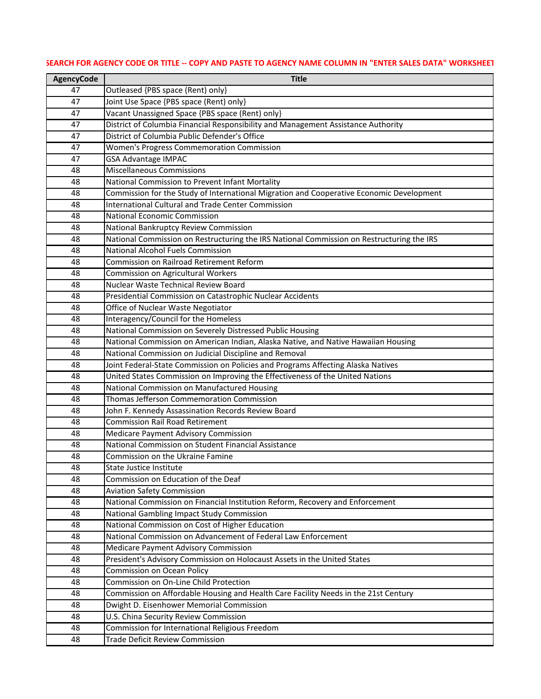| <b>AgencyCode</b> | <b>Title</b>                                                                                                  |
|-------------------|---------------------------------------------------------------------------------------------------------------|
| 47                | Outleased {PBS space (Rent) only}                                                                             |
| 47                | Joint Use Space {PBS space (Rent) only}                                                                       |
| 47                | Vacant Unassigned Space {PBS space (Rent) only}                                                               |
| 47                | District of Columbia Financial Responsibility and Management Assistance Authority                             |
| 47                | District of Columbia Public Defender's Office                                                                 |
| 47                | <b>Women's Progress Commemoration Commission</b>                                                              |
| 47                | <b>GSA Advantage IMPAC</b>                                                                                    |
| 48                | <b>Miscellaneous Commissions</b>                                                                              |
| 48                | National Commission to Prevent Infant Mortality                                                               |
| 48                | Commission for the Study of International Migration and Cooperative Economic Development                      |
| 48                | <b>International Cultural and Trade Center Commission</b>                                                     |
| 48                | National Economic Commission                                                                                  |
| 48                | National Bankruptcy Review Commission                                                                         |
| 48                | National Commission on Restructuring the IRS National Commission on Restructuring the IRS                     |
| 48                | <b>National Alcohol Fuels Commission</b>                                                                      |
| 48                | <b>Commission on Railroad Retirement Reform</b>                                                               |
| 48                | Commission on Agricultural Workers                                                                            |
| 48                | Nuclear Waste Technical Review Board                                                                          |
| 48                | Presidential Commission on Catastrophic Nuclear Accidents                                                     |
| 48                | Office of Nuclear Waste Negotiator                                                                            |
| 48                | Interagency/Council for the Homeless                                                                          |
| 48                | National Commission on Severely Distressed Public Housing                                                     |
| 48                | National Commission on American Indian, Alaska Native, and Native Hawaiian Housing                            |
| 48                | National Commission on Judicial Discipline and Removal                                                        |
| 48                | Joint Federal-State Commission on Policies and Programs Affecting Alaska Natives                              |
| 48                | United States Commission on Improving the Effectiveness of the United Nations                                 |
| 48                | National Commission on Manufactured Housing                                                                   |
| 48                | Thomas Jefferson Commemoration Commission                                                                     |
| 48                | John F. Kennedy Assassination Records Review Board                                                            |
| 48                | <b>Commission Rail Road Retirement</b>                                                                        |
| 48                | <b>Medicare Payment Advisory Commission</b>                                                                   |
| 48                | National Commission on Student Financial Assistance                                                           |
| 48                | Commission on the Ukraine Famine                                                                              |
| 48                | State Justice Institute                                                                                       |
| 48                | Commission on Education of the Deaf                                                                           |
| 48                | <b>Aviation Safety Commission</b>                                                                             |
| 48                | National Commission on Financial Institution Reform, Recovery and Enforcement                                 |
| 48                | National Gambling Impact Study Commission                                                                     |
| 48                | National Commission on Cost of Higher Education                                                               |
| 48                | National Commission on Advancement of Federal Law Enforcement                                                 |
| 48                | <b>Medicare Payment Advisory Commission</b>                                                                   |
| 48<br>48          | President's Advisory Commission on Holocaust Assets in the United States<br><b>Commission on Ocean Policy</b> |
| 48                | Commission on On-Line Child Protection                                                                        |
| 48                | Commission on Affordable Housing and Health Care Facility Needs in the 21st Century                           |
| 48                | Dwight D. Eisenhower Memorial Commission                                                                      |
| 48                | U.S. China Security Review Commission                                                                         |
| 48                | Commission for International Religious Freedom                                                                |
| 48                | <b>Trade Deficit Review Commission</b>                                                                        |
|                   |                                                                                                               |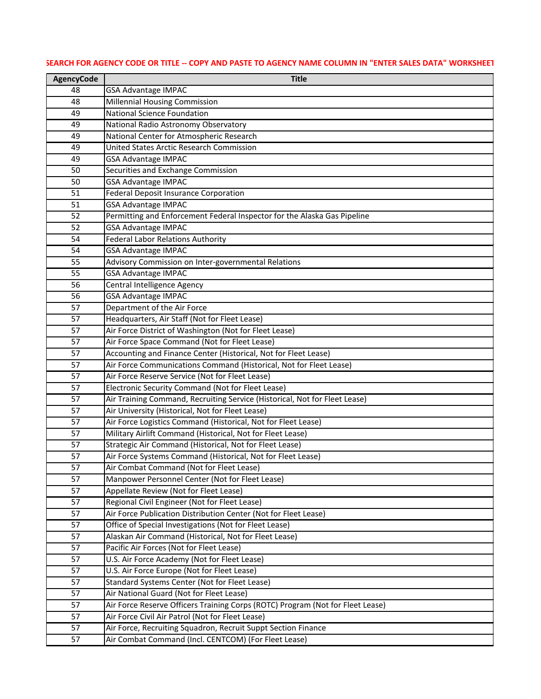| <b>AgencyCode</b> | <b>Title</b>                                                                                                               |
|-------------------|----------------------------------------------------------------------------------------------------------------------------|
| 48                | <b>GSA Advantage IMPAC</b>                                                                                                 |
| 48                | <b>Millennial Housing Commission</b>                                                                                       |
| 49                | <b>National Science Foundation</b>                                                                                         |
| 49                | National Radio Astronomy Observatory                                                                                       |
| 49                | National Center for Atmospheric Research                                                                                   |
| 49                | United States Arctic Research Commission                                                                                   |
| 49                | <b>GSA Advantage IMPAC</b>                                                                                                 |
| 50                | Securities and Exchange Commission                                                                                         |
| 50                | <b>GSA Advantage IMPAC</b>                                                                                                 |
| 51                | <b>Federal Deposit Insurance Corporation</b>                                                                               |
| 51                | <b>GSA Advantage IMPAC</b>                                                                                                 |
| 52                | Permitting and Enforcement Federal Inspector for the Alaska Gas Pipeline                                                   |
| 52                | <b>GSA Advantage IMPAC</b>                                                                                                 |
| 54                | <b>Federal Labor Relations Authority</b>                                                                                   |
| 54                | <b>GSA Advantage IMPAC</b>                                                                                                 |
| 55                | Advisory Commission on Inter-governmental Relations                                                                        |
| 55                | <b>GSA Advantage IMPAC</b>                                                                                                 |
| 56                | Central Intelligence Agency                                                                                                |
| 56                | <b>GSA Advantage IMPAC</b>                                                                                                 |
| 57                | Department of the Air Force                                                                                                |
| 57                | Headquarters, Air Staff (Not for Fleet Lease)                                                                              |
| 57                | Air Force District of Washington (Not for Fleet Lease)                                                                     |
| 57                | Air Force Space Command (Not for Fleet Lease)                                                                              |
| 57                | Accounting and Finance Center (Historical, Not for Fleet Lease)                                                            |
| 57                | Air Force Communications Command (Historical, Not for Fleet Lease)                                                         |
| 57                | Air Force Reserve Service (Not for Fleet Lease)                                                                            |
| 57                | Electronic Security Command (Not for Fleet Lease)                                                                          |
| 57                | Air Training Command, Recruiting Service (Historical, Not for Fleet Lease)                                                 |
| 57                | Air University (Historical, Not for Fleet Lease)                                                                           |
| 57                | Air Force Logistics Command (Historical, Not for Fleet Lease)                                                              |
| 57                | Military Airlift Command (Historical, Not for Fleet Lease)                                                                 |
| 57                | Strategic Air Command (Historical, Not for Fleet Lease)                                                                    |
| 57                | Air Force Systems Command (Historical, Not for Fleet Lease)                                                                |
| 57                | Air Combat Command (Not for Fleet Lease)                                                                                   |
| 57                | Manpower Personnel Center (Not for Fleet Lease)                                                                            |
| 57                | Appellate Review (Not for Fleet Lease)                                                                                     |
| 57                | Regional Civil Engineer (Not for Fleet Lease)                                                                              |
| 57                | Air Force Publication Distribution Center (Not for Fleet Lease)                                                            |
| 57                | Office of Special Investigations (Not for Fleet Lease)                                                                     |
| 57                | Alaskan Air Command (Historical, Not for Fleet Lease)                                                                      |
| 57                | Pacific Air Forces (Not for Fleet Lease)                                                                                   |
| 57                | U.S. Air Force Academy (Not for Fleet Lease)                                                                               |
| 57<br>57          | U.S. Air Force Europe (Not for Fleet Lease)<br>Standard Systems Center (Not for Fleet Lease)                               |
| 57                |                                                                                                                            |
| 57                | Air National Guard (Not for Fleet Lease)<br>Air Force Reserve Officers Training Corps (ROTC) Program (Not for Fleet Lease) |
| 57                | Air Force Civil Air Patrol (Not for Fleet Lease)                                                                           |
| 57                | Air Force, Recruiting Squadron, Recruit Suppt Section Finance                                                              |
| 57                | Air Combat Command (Incl. CENTCOM) (For Fleet Lease)                                                                       |
|                   |                                                                                                                            |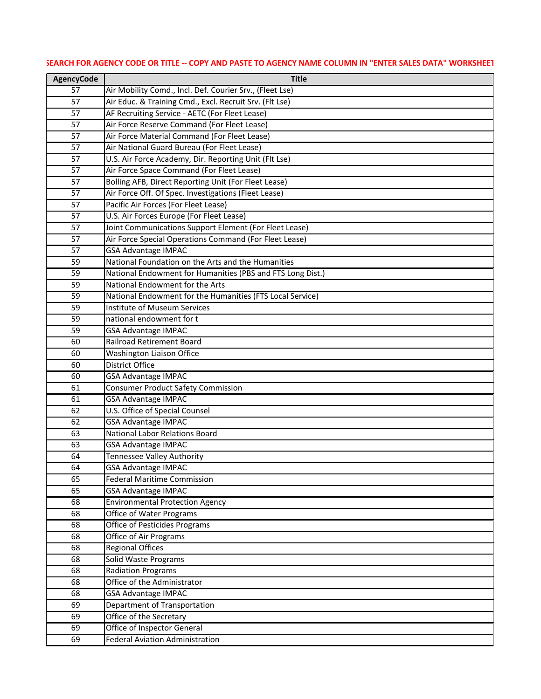| <b>AgencyCode</b> | <b>Title</b>                                               |
|-------------------|------------------------------------------------------------|
| 57                | Air Mobility Comd., Incl. Def. Courier Srv., (Fleet Lse)   |
| 57                | Air Educ. & Training Cmd., Excl. Recruit Srv. (Flt Lse)    |
| 57                | AF Recruiting Service - AETC (For Fleet Lease)             |
| 57                | Air Force Reserve Command (For Fleet Lease)                |
| 57                | Air Force Material Command (For Fleet Lease)               |
| 57                | Air National Guard Bureau (For Fleet Lease)                |
| 57                | U.S. Air Force Academy, Dir. Reporting Unit (Flt Lse)      |
| 57                | Air Force Space Command (For Fleet Lease)                  |
| 57                | Bolling AFB, Direct Reporting Unit (For Fleet Lease)       |
| 57                | Air Force Off. Of Spec. Investigations (Fleet Lease)       |
| 57                | Pacific Air Forces (For Fleet Lease)                       |
| 57                | U.S. Air Forces Europe (For Fleet Lease)                   |
| 57                | Joint Communications Support Element (For Fleet Lease)     |
| 57                | Air Force Special Operations Command (For Fleet Lease)     |
| 57                | <b>GSA Advantage IMPAC</b>                                 |
| 59                | National Foundation on the Arts and the Humanities         |
| 59                | National Endowment for Humanities (PBS and FTS Long Dist.) |
| 59                | National Endowment for the Arts                            |
| 59                | National Endowment for the Humanities (FTS Local Service)  |
| 59                | <b>Institute of Museum Services</b>                        |
| 59                | national endowment for t                                   |
| 59                | <b>GSA Advantage IMPAC</b>                                 |
| 60                | <b>Railroad Retirement Board</b>                           |
| 60                | <b>Washington Liaison Office</b>                           |
| 60                | <b>District Office</b>                                     |
| 60                | <b>GSA Advantage IMPAC</b>                                 |
| 61                | <b>Consumer Product Safety Commission</b>                  |
| 61                | <b>GSA Advantage IMPAC</b>                                 |
| 62                | U.S. Office of Special Counsel                             |
| 62                | <b>GSA Advantage IMPAC</b>                                 |
| 63                | National Labor Relations Board                             |
| 63                | <b>GSA Advantage IMPAC</b>                                 |
| 64                | <b>Tennessee Valley Authority</b>                          |
| 64                | <b>GSA Advantage IMPAC</b>                                 |
| 65                | <b>Federal Maritime Commission</b>                         |
| 65                | <b>GSA Advantage IMPAC</b>                                 |
| 68                | <b>Environmental Protection Agency</b>                     |
| 68                | Office of Water Programs                                   |
| 68                | <b>Office of Pesticides Programs</b>                       |
| 68                | Office of Air Programs                                     |
| 68                | <b>Regional Offices</b>                                    |
| 68                | Solid Waste Programs                                       |
| 68                | <b>Radiation Programs</b><br>Office of the Administrator   |
| 68                |                                                            |
| 68<br>69          | <b>GSA Advantage IMPAC</b><br>Department of Transportation |
|                   |                                                            |
| 69<br>69          | Office of the Secretary<br>Office of Inspector General     |
| 69                | <b>Federal Aviation Administration</b>                     |
|                   |                                                            |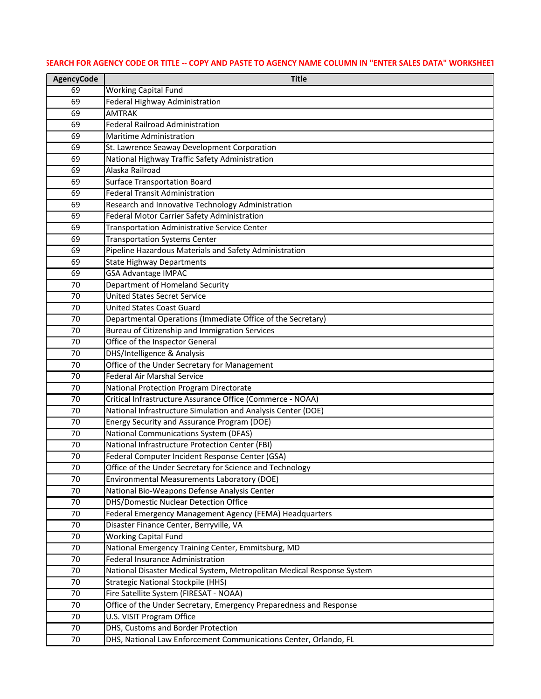| <b>AgencyCode</b> | <b>Title</b>                                                                                                        |
|-------------------|---------------------------------------------------------------------------------------------------------------------|
| 69                | <b>Working Capital Fund</b>                                                                                         |
| 69                | Federal Highway Administration                                                                                      |
| 69                | <b>AMTRAK</b>                                                                                                       |
| 69                | <b>Federal Railroad Administration</b>                                                                              |
| 69                | <b>Maritime Administration</b>                                                                                      |
| 69                | St. Lawrence Seaway Development Corporation                                                                         |
| 69                | National Highway Traffic Safety Administration                                                                      |
| 69                | Alaska Railroad                                                                                                     |
| 69                | <b>Surface Transportation Board</b>                                                                                 |
| 69                | <b>Federal Transit Administration</b>                                                                               |
| 69                | Research and Innovative Technology Administration                                                                   |
| 69                | Federal Motor Carrier Safety Administration                                                                         |
| 69                | <b>Transportation Administrative Service Center</b>                                                                 |
| 69                | <b>Transportation Systems Center</b>                                                                                |
| 69                | Pipeline Hazardous Materials and Safety Administration                                                              |
| 69                | <b>State Highway Departments</b>                                                                                    |
| 69                | <b>GSA Advantage IMPAC</b>                                                                                          |
| 70                | Department of Homeland Security                                                                                     |
| 70                | <b>United States Secret Service</b>                                                                                 |
| 70                | <b>United States Coast Guard</b>                                                                                    |
| 70                | Departmental Operations (Immediate Office of the Secretary)                                                         |
| 70                | Bureau of Citizenship and Immigration Services                                                                      |
| 70                | Office of the Inspector General                                                                                     |
| 70                | DHS/Intelligence & Analysis                                                                                         |
| 70                | Office of the Under Secretary for Management                                                                        |
| 70                | <b>Federal Air Marshal Service</b>                                                                                  |
| 70                | National Protection Program Directorate                                                                             |
| 70                | Critical Infrastructure Assurance Office (Commerce - NOAA)                                                          |
| 70                | National Infrastructure Simulation and Analysis Center (DOE)                                                        |
| 70                | Energy Security and Assurance Program (DOE)                                                                         |
| 70                | <b>National Communications System (DFAS)</b>                                                                        |
| 70                | National Infrastructure Protection Center (FBI)                                                                     |
| 70                | Federal Computer Incident Response Center (GSA)                                                                     |
| 70                | Office of the Under Secretary for Science and Technology                                                            |
| 70                | <b>Environmental Measurements Laboratory (DOE)</b>                                                                  |
| 70                | National Bio-Weapons Defense Analysis Center                                                                        |
| 70                | <b>DHS/Domestic Nuclear Detection Office</b>                                                                        |
| 70                | Federal Emergency Management Agency (FEMA) Headquarters                                                             |
| 70<br>70          | Disaster Finance Center, Berryville, VA                                                                             |
| 70                | <b>Working Capital Fund</b>                                                                                         |
|                   | National Emergency Training Center, Emmitsburg, MD<br><b>Federal Insurance Administration</b>                       |
| 70                |                                                                                                                     |
| 70<br>70          | National Disaster Medical System, Metropolitan Medical Response System<br><b>Strategic National Stockpile (HHS)</b> |
| 70                |                                                                                                                     |
| 70                | Fire Satellite System (FIRESAT - NOAA)<br>Office of the Under Secretary, Emergency Preparedness and Response        |
| 70                | U.S. VISIT Program Office                                                                                           |
| 70                | DHS, Customs and Border Protection                                                                                  |
| 70                | DHS, National Law Enforcement Communications Center, Orlando, FL                                                    |
|                   |                                                                                                                     |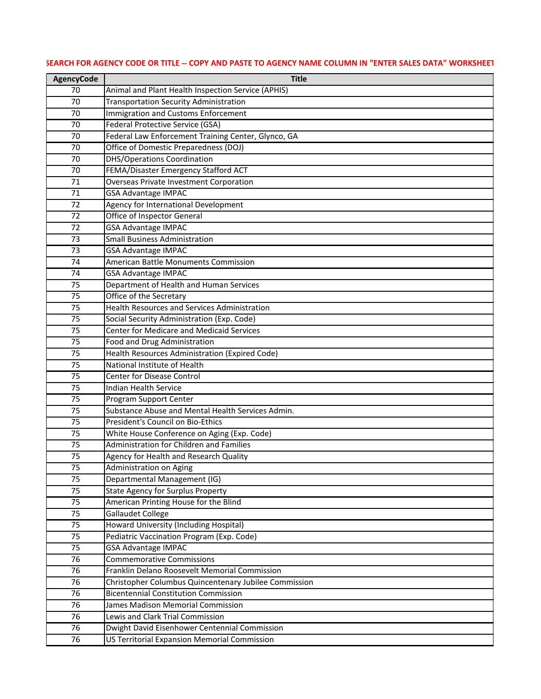# **AgencyCode Title** Animal and Plant Health Inspection Service (APHIS) Transportation Security Administration 70 Immigration and Customs Enforcement Federal Protective Service (GSA) Federal Law Enforcement Training Center, Glynco, GA Office of Domestic Preparedness (DOJ) DHS/Operations Coordination FEMA/Disaster Emergency Stafford ACT Overseas Private Investment Corporation GSA Advantage IMPAC Agency for International Development Office of Inspector General GSA Advantage IMPAC Small Business Administration GSA Advantage IMPAC American Battle Monuments Commission GSA Advantage IMPAC Department of Health and Human Services **Office of the Secretary**  Health Resources and Services Administration 75 Social Security Administration (Exp. Code) Center for Medicare and Medicaid Services Food and Drug Administration Health Resources Administration (Expired Code) National Institute of Health Center for Disease Control **Indian Health Service**  Program Support Center Substance Abuse and Mental Health Services Admin. President's Council on Bio-Ethics White House Conference on Aging (Exp. Code) Administration for Children and Families Agency for Health and Research Quality Administration on Aging Departmental Management (IG) 75 State Agency for Surplus Property American Printing House for the Blind Gallaudet College Howard University (Including Hospital) Pediatric Vaccination Program (Exp. Code) GSA Advantage IMPAC Commemorative Commissions Franklin Delano Roosevelt Memorial Commission Christopher Columbus Quincentenary Jubilee Commission Bicentennial Constitution Commission James Madison Memorial Commission Lewis and Clark Trial Commission Dwight David Eisenhower Centennial Commission US Territorial Expansion Memorial Commission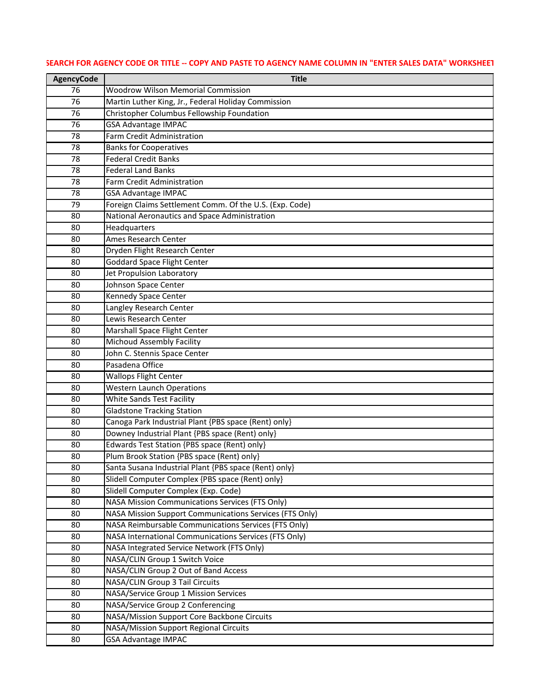| <b>AgencyCode</b> | <b>Title</b>                                                                                                             |
|-------------------|--------------------------------------------------------------------------------------------------------------------------|
| 76                | <b>Woodrow Wilson Memorial Commission</b>                                                                                |
| 76                | Martin Luther King, Jr., Federal Holiday Commission                                                                      |
| 76                | Christopher Columbus Fellowship Foundation                                                                               |
| 76                | <b>GSA Advantage IMPAC</b>                                                                                               |
| 78                | <b>Farm Credit Administration</b>                                                                                        |
| 78                | <b>Banks for Cooperatives</b>                                                                                            |
| 78                | <b>Federal Credit Banks</b>                                                                                              |
| 78                | <b>Federal Land Banks</b>                                                                                                |
| 78                | <b>Farm Credit Administration</b>                                                                                        |
| 78                | <b>GSA Advantage IMPAC</b>                                                                                               |
| 79                | Foreign Claims Settlement Comm. Of the U.S. (Exp. Code)                                                                  |
| 80                | National Aeronautics and Space Administration                                                                            |
| 80                | Headquarters                                                                                                             |
| 80                | Ames Research Center                                                                                                     |
| 80                | Dryden Flight Research Center                                                                                            |
| 80                | <b>Goddard Space Flight Center</b>                                                                                       |
| 80                | Jet Propulsion Laboratory                                                                                                |
| 80                | Johnson Space Center                                                                                                     |
| 80                | Kennedy Space Center                                                                                                     |
| 80                | Langley Research Center                                                                                                  |
| 80                | Lewis Research Center                                                                                                    |
| 80                | Marshall Space Flight Center                                                                                             |
| 80                | Michoud Assembly Facility                                                                                                |
| 80                | John C. Stennis Space Center                                                                                             |
| 80                | Pasadena Office                                                                                                          |
| 80                | <b>Wallops Flight Center</b>                                                                                             |
| 80                | <b>Western Launch Operations</b>                                                                                         |
| 80                | <b>White Sands Test Facility</b>                                                                                         |
| 80                | <b>Gladstone Tracking Station</b>                                                                                        |
| 80                | Canoga Park Industrial Plant {PBS space (Rent) only}                                                                     |
| 80                | Downey Industrial Plant {PBS space (Rent) only}                                                                          |
| 80                | Edwards Test Station {PBS space (Rent) only}                                                                             |
| 80                | Plum Brook Station {PBS space (Rent) only}                                                                               |
| 80                | Santa Susana Industrial Plant {PBS space (Rent) only}                                                                    |
| 80                | Slidell Computer Complex {PBS space (Rent) only}                                                                         |
| 80                | Slidell Computer Complex (Exp. Code)                                                                                     |
| 80                | <b>NASA Mission Communications Services (FTS Only)</b><br><b>NASA Mission Support Communications Services (FTS Only)</b> |
| 80                | NASA Reimbursable Communications Services (FTS Only)                                                                     |
| 80<br>80          | NASA International Communications Services (FTS Only)                                                                    |
| 80                | NASA Integrated Service Network (FTS Only)                                                                               |
| 80                | NASA/CLIN Group 1 Switch Voice                                                                                           |
| 80                | NASA/CLIN Group 2 Out of Band Access                                                                                     |
| 80                | NASA/CLIN Group 3 Tail Circuits                                                                                          |
| 80                | NASA/Service Group 1 Mission Services                                                                                    |
| 80                | NASA/Service Group 2 Conferencing                                                                                        |
| 80                | NASA/Mission Support Core Backbone Circuits                                                                              |
| 80                | NASA/Mission Support Regional Circuits                                                                                   |
| 80                | <b>GSA Advantage IMPAC</b>                                                                                               |
|                   |                                                                                                                          |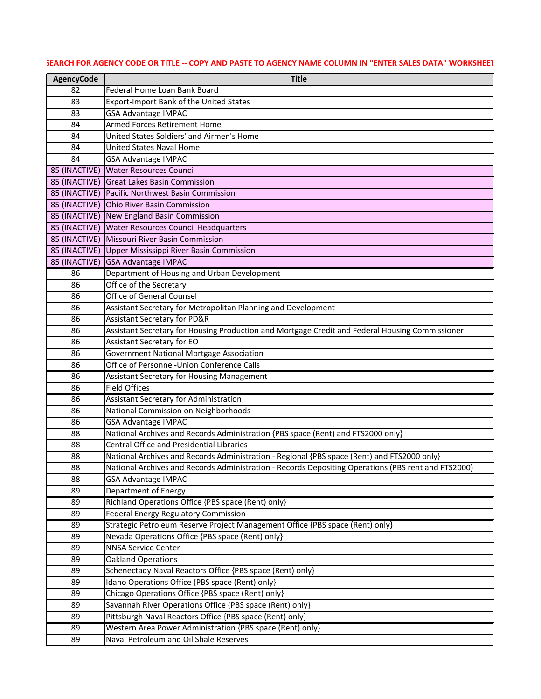| <b>AgencyCode</b> | <b>Title</b>                                                                                                                 |
|-------------------|------------------------------------------------------------------------------------------------------------------------------|
| 82                | Federal Home Loan Bank Board                                                                                                 |
| 83                | Export-Import Bank of the United States                                                                                      |
| 83                | <b>GSA Advantage IMPAC</b>                                                                                                   |
| 84                | <b>Armed Forces Retirement Home</b>                                                                                          |
| 84                | United States Soldiers' and Airmen's Home                                                                                    |
| 84                | <b>United States Naval Home</b>                                                                                              |
| 84                | <b>GSA Advantage IMPAC</b>                                                                                                   |
| 85 (INACTIVE)     | <b>Water Resources Council</b>                                                                                               |
| 85 (INACTIVE)     | <b>Great Lakes Basin Commission</b>                                                                                          |
| 85 (INACTIVE)     | Pacific Northwest Basin Commission                                                                                           |
| 85 (INACTIVE)     | <b>Ohio River Basin Commission</b>                                                                                           |
| 85 (INACTIVE)     | New England Basin Commission                                                                                                 |
| 85 (INACTIVE)     | <b>Water Resources Council Headquarters</b>                                                                                  |
| 85 (INACTIVE)     | Missouri River Basin Commission                                                                                              |
|                   | 85 (INACTIVE) Upper Mississippi River Basin Commission                                                                       |
|                   | 85 (INACTIVE) GSA Advantage IMPAC                                                                                            |
| 86                | Department of Housing and Urban Development                                                                                  |
| 86                | Office of the Secretary                                                                                                      |
| 86                | <b>Office of General Counsel</b>                                                                                             |
| 86                | Assistant Secretary for Metropolitan Planning and Development                                                                |
| 86                | <b>Assistant Secretary for PD&amp;R</b>                                                                                      |
| 86                | Assistant Secretary for Housing Production and Mortgage Credit and Federal Housing Commissioner                              |
| 86                | Assistant Secretary for EO                                                                                                   |
| 86                | Government National Mortgage Association                                                                                     |
| 86                | Office of Personnel-Union Conference Calls                                                                                   |
| 86                | <b>Assistant Secretary for Housing Management</b>                                                                            |
| 86                | <b>Field Offices</b>                                                                                                         |
| 86                | Assistant Secretary for Administration                                                                                       |
| 86                | National Commission on Neighborhoods                                                                                         |
| 86                | <b>GSA Advantage IMPAC</b>                                                                                                   |
| 88                | National Archives and Records Administration {PBS space (Rent) and FTS2000 only}                                             |
| 88                | <b>Central Office and Presidential Libraries</b>                                                                             |
| 88                | National Archives and Records Administration - Regional {PBS space (Rent) and FTS2000 only}                                  |
| 88                | National Archives and Records Administration - Records Depositing Operations (PBS rent and FTS2000)                          |
| 88                | <b>GSA Advantage IMPAC</b>                                                                                                   |
| 89                | Department of Energy                                                                                                         |
| 89                | Richland Operations Office {PBS space (Rent) only}                                                                           |
| 89<br>89          | <b>Federal Energy Regulatory Commission</b><br>Strategic Petroleum Reserve Project Management Office {PBS space (Rent) only} |
|                   |                                                                                                                              |
| 89<br>89          | Nevada Operations Office {PBS space (Rent) only}<br><b>NNSA Service Center</b>                                               |
| 89                | <b>Oakland Operations</b>                                                                                                    |
| 89                | Schenectady Naval Reactors Office {PBS space (Rent) only}                                                                    |
| 89                | Idaho Operations Office {PBS space (Rent) only}                                                                              |
| 89                | Chicago Operations Office {PBS space (Rent) only}                                                                            |
| 89                | Savannah River Operations Office {PBS space (Rent) only}                                                                     |
| 89                | Pittsburgh Naval Reactors Office {PBS space (Rent) only}                                                                     |
| 89                | Western Area Power Administration {PBS space (Rent) only}                                                                    |
| 89                | Naval Petroleum and Oil Shale Reserves                                                                                       |
|                   |                                                                                                                              |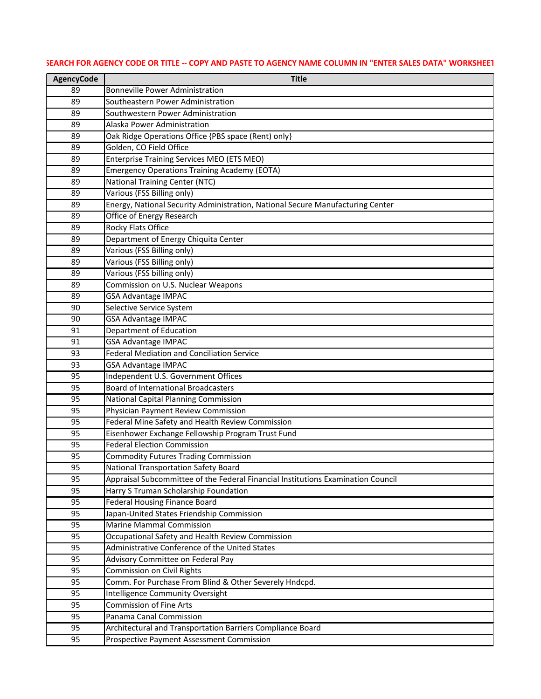| <b>AgencyCode</b> | <b>Title</b>                                                                                                              |
|-------------------|---------------------------------------------------------------------------------------------------------------------------|
| 89                | <b>Bonneville Power Administration</b>                                                                                    |
| 89                | Southeastern Power Administration                                                                                         |
| 89                | Southwestern Power Administration                                                                                         |
| 89                | Alaska Power Administration                                                                                               |
| 89                | Oak Ridge Operations Office {PBS space (Rent) only}                                                                       |
| 89                | Golden, CO Field Office                                                                                                   |
| 89                | <b>Enterprise Training Services MEO (ETS MEO)</b>                                                                         |
| 89                | <b>Emergency Operations Training Academy (EOTA)</b>                                                                       |
| 89                | <b>National Training Center (NTC)</b>                                                                                     |
| 89                | Various (FSS Billing only)                                                                                                |
| 89                | Energy, National Security Administration, National Secure Manufacturing Center                                            |
| 89                | Office of Energy Research                                                                                                 |
| 89                | <b>Rocky Flats Office</b>                                                                                                 |
| 89                | Department of Energy Chiquita Center                                                                                      |
| 89                | Various (FSS Billing only)                                                                                                |
| 89                | Various (FSS Billing only)                                                                                                |
| 89                | Various (FSS billing only)                                                                                                |
| 89                | Commission on U.S. Nuclear Weapons                                                                                        |
| 89                | GSA Advantage IMPAC                                                                                                       |
| 90                | Selective Service System                                                                                                  |
| 90                | <b>GSA Advantage IMPAC</b>                                                                                                |
| 91                | Department of Education                                                                                                   |
| 91                | <b>GSA Advantage IMPAC</b>                                                                                                |
| 93                | <b>Federal Mediation and Conciliation Service</b>                                                                         |
| 93                | <b>GSA Advantage IMPAC</b>                                                                                                |
| 95                | Independent U.S. Government Offices                                                                                       |
| 95                | <b>Board of International Broadcasters</b>                                                                                |
| 95                | <b>National Capital Planning Commission</b>                                                                               |
| 95                | Physician Payment Review Commission                                                                                       |
| 95                | Federal Mine Safety and Health Review Commission                                                                          |
| 95                | Eisenhower Exchange Fellowship Program Trust Fund                                                                         |
| 95                | <b>Federal Election Commission</b>                                                                                        |
| 95                | <b>Commodity Futures Trading Commission</b>                                                                               |
| 95<br>95          | National Transportation Safety Board                                                                                      |
| 95                | Appraisal Subcommittee of the Federal Financial Institutions Examination Council<br>Harry S Truman Scholarship Foundation |
| 95                | <b>Federal Housing Finance Board</b>                                                                                      |
| 95                | Japan-United States Friendship Commission                                                                                 |
| 95                | <b>Marine Mammal Commission</b>                                                                                           |
| 95                | Occupational Safety and Health Review Commission                                                                          |
| 95                | Administrative Conference of the United States                                                                            |
| 95                | Advisory Committee on Federal Pay                                                                                         |
| 95                | <b>Commission on Civil Rights</b>                                                                                         |
| 95                | Comm. For Purchase From Blind & Other Severely Hndcpd.                                                                    |
| 95                | Intelligence Community Oversight                                                                                          |
| 95                | <b>Commission of Fine Arts</b>                                                                                            |
| 95                | Panama Canal Commission                                                                                                   |
| 95                | Architectural and Transportation Barriers Compliance Board                                                                |
| 95                | Prospective Payment Assessment Commission                                                                                 |
|                   |                                                                                                                           |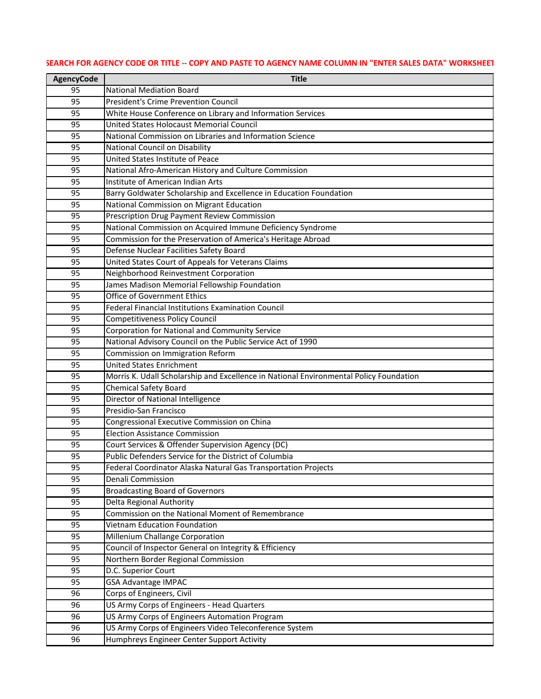| <b>AgencyCode</b> | <b>Title</b>                                                                           |
|-------------------|----------------------------------------------------------------------------------------|
| 95                | <b>National Mediation Board</b>                                                        |
| 95                | <b>President's Crime Prevention Council</b>                                            |
| 95                | White House Conference on Library and Information Services                             |
| 95                | United States Holocaust Memorial Council                                               |
| 95                | National Commission on Libraries and Information Science                               |
| 95                | <b>National Council on Disability</b>                                                  |
| 95                | United States Institute of Peace                                                       |
| 95                | National Afro-American History and Culture Commission                                  |
| 95                | Institute of American Indian Arts                                                      |
| 95                | Barry Goldwater Scholarship and Excellence in Education Foundation                     |
| 95                | National Commission on Migrant Education                                               |
| 95                | Prescription Drug Payment Review Commission                                            |
| 95                | National Commission on Acquired Immune Deficiency Syndrome                             |
| 95                | Commission for the Preservation of America's Heritage Abroad                           |
| 95                | Defense Nuclear Facilities Safety Board                                                |
| 95                | United States Court of Appeals for Veterans Claims                                     |
| 95                | Neighborhood Reinvestment Corporation                                                  |
| 95                | James Madison Memorial Fellowship Foundation                                           |
| 95                | <b>Office of Government Ethics</b>                                                     |
| 95                | <b>Federal Financial Institutions Examination Council</b>                              |
| 95                | <b>Competitiveness Policy Council</b>                                                  |
| 95                | Corporation for National and Community Service                                         |
| 95                | National Advisory Council on the Public Service Act of 1990                            |
| 95                | Commission on Immigration Reform                                                       |
| 95                | <b>United States Enrichment</b>                                                        |
| 95                | Morris K. Udall Scholarship and Excellence in National Environmental Policy Foundation |
| 95                | <b>Chemical Safety Board</b>                                                           |
| 95                | Director of National Intelligence                                                      |
| 95                | Presidio-San Francisco                                                                 |
| 95                | Congressional Executive Commission on China                                            |
| 95                | <b>Election Assistance Commission</b>                                                  |
| 95                | Court Services & Offender Supervision Agency (DC)                                      |
| 95                | Public Defenders Service for the District of Columbia                                  |
| 95                | Federal Coordinator Alaska Natural Gas Transportation Projects                         |
| 95                | Denali Commission                                                                      |
| 95                | <b>Broadcasting Board of Governors</b>                                                 |
| 95                | Delta Regional Authority                                                               |
| 95                | Commission on the National Moment of Remembrance                                       |
| 95                | <b>Vietnam Education Foundation</b>                                                    |
| 95                | Millenium Challange Corporation                                                        |
| 95                | Council of Inspector General on Integrity & Efficiency                                 |
| 95                | Northern Border Regional Commission                                                    |
| 95                | D.C. Superior Court                                                                    |
| 95                | <b>GSA Advantage IMPAC</b>                                                             |
| 96                | Corps of Engineers, Civil                                                              |
| 96                | US Army Corps of Engineers - Head Quarters                                             |
| 96                | US Army Corps of Engineers Automation Program                                          |
| 96                | US Army Corps of Engineers Video Teleconference System                                 |
| 96                | Humphreys Engineer Center Support Activity                                             |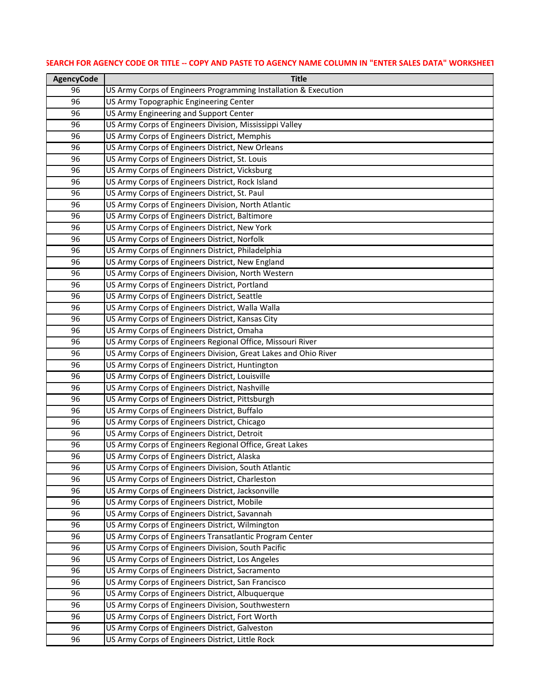| <b>AgencyCode</b> | <b>Title</b>                                                                                     |
|-------------------|--------------------------------------------------------------------------------------------------|
| 96                | US Army Corps of Engineers Programming Installation & Execution                                  |
| 96                | US Army Topographic Engineering Center                                                           |
| 96                | US Army Engineering and Support Center                                                           |
| 96                | US Army Corps of Engineers Division, Mississippi Valley                                          |
| 96                | US Army Corps of Engineers District, Memphis                                                     |
| 96                | US Army Corps of Engineers District, New Orleans                                                 |
| 96                | US Army Corps of Engineers District, St. Louis                                                   |
| 96                | US Army Corps of Engineers District, Vicksburg                                                   |
| 96                | US Army Corps of Engineers District, Rock Island                                                 |
| 96                | US Army Corps of Engineers District, St. Paul                                                    |
| 96                | US Army Corps of Engineers Division, North Atlantic                                              |
| 96                | US Army Corps of Engineers District, Baltimore                                                   |
| 96                | US Army Corps of Engineers District, New York                                                    |
| 96                | US Army Corps of Engineers District, Norfolk                                                     |
| 96                | US Army Corps of Enginners District, Philadelphia                                                |
| 96                | US Army Corps of Engineers District, New England                                                 |
| 96                | US Army Corps of Engineers Division, North Western                                               |
| 96                | US Army Corps of Engineers District, Portland                                                    |
| 96                | US Army Corps of Engineers District, Seattle                                                     |
| 96                | US Army Corps of Engineers District, Walla Walla                                                 |
| 96                | US Army Corps of Engineers District, Kansas City                                                 |
| 96                | US Army Corps of Engineers District, Omaha                                                       |
| 96                | US Army Corps of Engineers Regional Office, Missouri River                                       |
| 96                | US Army Corps of Engineers Division, Great Lakes and Ohio River                                  |
| 96                | US Army Corps of Engineers District, Huntington                                                  |
| 96                | US Army Corps of Engineers District, Louisville                                                  |
| 96                | US Army Corps of Engineers District, Nashville                                                   |
| 96                | US Army Corps of Engineers District, Pittsburgh                                                  |
| 96                | US Army Corps of Engineers District, Buffalo                                                     |
| 96                | US Army Corps of Engineers District, Chicago                                                     |
| 96                | US Army Corps of Engineers District, Detroit                                                     |
| 96                | US Army Corps of Engineers Regional Office, Great Lakes                                          |
| 96                | US Army Corps of Engineers District, Alaska                                                      |
| 96                | US Army Corps of Engineers Division, South Atlantic                                              |
| 96                | US Army Corps of Engineers District, Charleston                                                  |
| 96                | US Army Corps of Engineers District, Jacksonville<br>US Army Corps of Engineers District, Mobile |
| 96<br>96          | US Army Corps of Engineers District, Savannah                                                    |
| 96                | US Army Corps of Engineers District, Wilmington                                                  |
| 96                | US Army Corps of Engineers Transatlantic Program Center                                          |
| 96                | US Army Corps of Engineers Division, South Pacific                                               |
| 96                | US Army Corps of Engineers District, Los Angeles                                                 |
| 96                | US Army Corps of Engineers District, Sacramento                                                  |
| 96                | US Army Corps of Engineers District, San Francisco                                               |
| 96                | US Army Corps of Engineers District, Albuquerque                                                 |
| 96                | US Army Corps of Engineers Division, Southwestern                                                |
| 96                | US Army Corps of Engineers District, Fort Worth                                                  |
| 96                | US Army Corps of Engineers District, Galveston                                                   |
| 96                | US Army Corps of Engineers District, Little Rock                                                 |
|                   |                                                                                                  |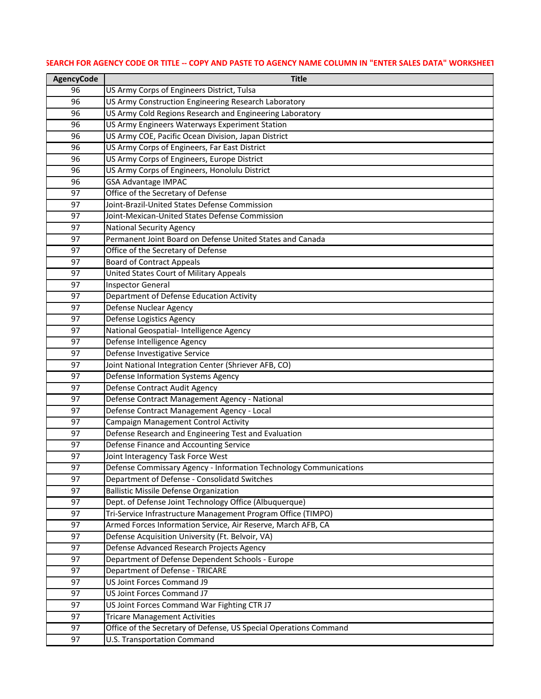| <b>AgencyCode</b> | <b>Title</b>                                                      |
|-------------------|-------------------------------------------------------------------|
| 96                | US Army Corps of Engineers District, Tulsa                        |
| 96                | US Army Construction Engineering Research Laboratory              |
| 96                | US Army Cold Regions Research and Engineering Laboratory          |
| 96                | US Army Engineers Waterways Experiment Station                    |
| 96                | US Army COE, Pacific Ocean Division, Japan District               |
| 96                | US Army Corps of Engineers, Far East District                     |
| 96                | US Army Corps of Engineers, Europe District                       |
| 96                | US Army Corps of Engineers, Honolulu District                     |
| 96                | <b>GSA Advantage IMPAC</b>                                        |
| 97                | Office of the Secretary of Defense                                |
| 97                | Joint-Brazil-United States Defense Commission                     |
| 97                | Joint-Mexican-United States Defense Commission                    |
| 97                | <b>National Security Agency</b>                                   |
| 97                | Permanent Joint Board on Defense United States and Canada         |
| 97                | Office of the Secretary of Defense                                |
| 97                | <b>Board of Contract Appeals</b>                                  |
| 97                | United States Court of Military Appeals                           |
| 97                | <b>Inspector General</b>                                          |
| 97                | Department of Defense Education Activity                          |
| 97                | Defense Nuclear Agency                                            |
| 97                | Defense Logistics Agency                                          |
| 97                | National Geospatial- Intelligence Agency                          |
| 97                | Defense Intelligence Agency                                       |
| 97                | Defense Investigative Service                                     |
| 97                | Joint National Integration Center (Shriever AFB, CO)              |
| 97                | Defense Information Systems Agency                                |
| 97                | Defense Contract Audit Agency                                     |
| 97                | Defense Contract Management Agency - National                     |
| 97                | Defense Contract Management Agency - Local                        |
| 97                | Campaign Management Control Activity                              |
| 97                | Defense Research and Engineering Test and Evaluation              |
| 97                | Defense Finance and Accounting Service                            |
| 97                | Joint Interagency Task Force West                                 |
| 97                | Defense Commissary Agency - Information Technology Communications |
| 97                | Department of Defense - Consolidatd Switches                      |
| 97                | <b>Ballistic Missile Defense Organization</b>                     |
| 97                | Dept. of Defense Joint Technology Office (Albuquerque)            |
| 97                | Tri-Service Infrastructure Management Program Office (TIMPO)      |
| 97                | Armed Forces Information Service, Air Reserve, March AFB, CA      |
| 97                | Defense Acquisition University (Ft. Belvoir, VA)                  |
| 97                | Defense Advanced Research Projects Agency                         |
| 97                | Department of Defense Dependent Schools - Europe                  |
| 97                | Department of Defense - TRICARE                                   |
| 97                | US Joint Forces Command J9                                        |
| 97                | US Joint Forces Command J7                                        |
| 97                | US Joint Forces Command War Fighting CTR J7                       |
| 97                | <b>Tricare Management Activities</b>                              |
| 97                | Office of the Secretary of Defense, US Special Operations Command |
| 97                | U.S. Transportation Command                                       |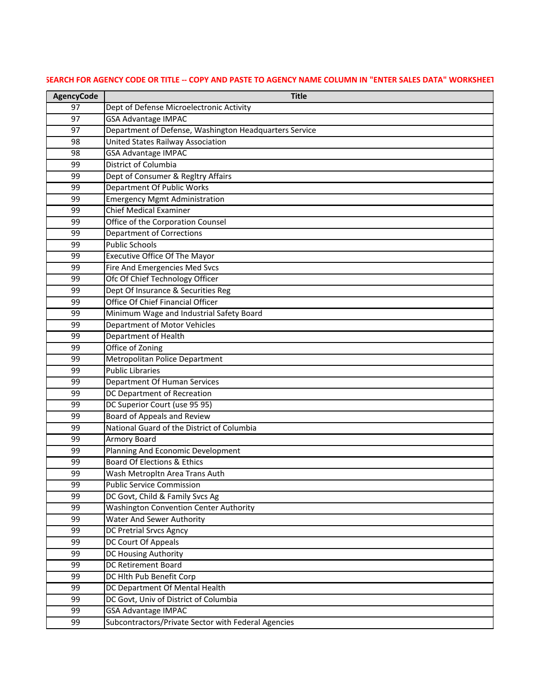| <b>AgencyCode</b> | <b>Title</b>                                           |
|-------------------|--------------------------------------------------------|
| 97                | Dept of Defense Microelectronic Activity               |
| 97                | <b>GSA Advantage IMPAC</b>                             |
| 97                | Department of Defense, Washington Headquarters Service |
| 98                | <b>United States Railway Association</b>               |
| 98                | <b>GSA Advantage IMPAC</b>                             |
| 99                | District of Columbia                                   |
| 99                | Dept of Consumer & Regltry Affairs                     |
| 99                | <b>Department Of Public Works</b>                      |
| 99                | <b>Emergency Mgmt Administration</b>                   |
| 99                | <b>Chief Medical Examiner</b>                          |
| 99                | Office of the Corporation Counsel                      |
| 99                | <b>Department of Corrections</b>                       |
| 99                | <b>Public Schools</b>                                  |
| 99                | <b>Executive Office Of The Mayor</b>                   |
| 99                | Fire And Emergencies Med Svcs                          |
| 99                | Ofc Of Chief Technology Officer                        |
| 99                | Dept Of Insurance & Securities Reg                     |
| 99                | Office Of Chief Financial Officer                      |
| 99                | Minimum Wage and Industrial Safety Board               |
| 99                | Department of Motor Vehicles                           |
| 99                | Department of Health                                   |
| 99                | Office of Zoning                                       |
| 99                | Metropolitan Police Department                         |
| 99                | <b>Public Libraries</b>                                |
| 99                | Department Of Human Services                           |
| 99                | DC Department of Recreation                            |
| 99                | DC Superior Court (use 95 95)                          |
| 99                | Board of Appeals and Review                            |
| 99                | National Guard of the District of Columbia             |
| 99                | Armory Board                                           |
| 99                | Planning And Economic Development                      |
| 99                | <b>Board Of Elections &amp; Ethics</b>                 |
| 99                | Wash Metropltn Area Trans Auth                         |
| 99                | <b>Public Service Commission</b>                       |
| 99                | DC Govt, Child & Family Svcs Ag                        |
| 99                | <b>Washington Convention Center Authority</b>          |
| 99                | <b>Water And Sewer Authority</b>                       |
| 99                | <b>DC Pretrial Srvcs Agncy</b>                         |
| 99                | DC Court Of Appeals                                    |
| 99                | DC Housing Authority                                   |
| 99                | <b>DC Retirement Board</b>                             |
| 99                | DC Hlth Pub Benefit Corp                               |
| 99                | DC Department Of Mental Health                         |
| 99                | DC Govt, Univ of District of Columbia                  |
| 99                | <b>GSA Advantage IMPAC</b>                             |
| 99                | Subcontractors/Private Sector with Federal Agencies    |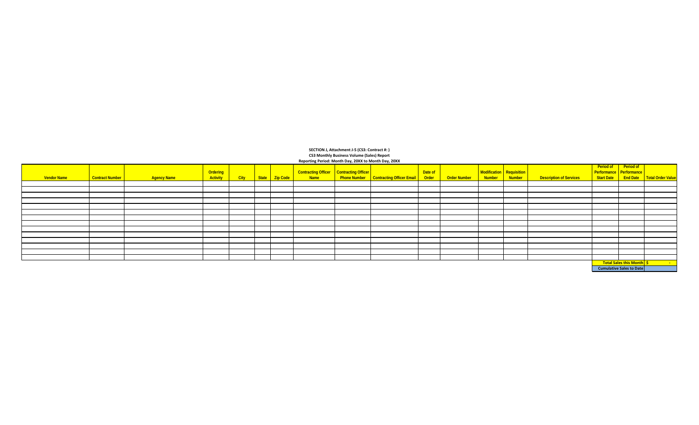| <b>Vendor Name</b> | Contract Number | <b>Agency Name</b> | Ordering<br><b>Activity</b> | City   State   Zip Code |  |  | . | Contracting Officer Contracting Officer<br>Name Phone Number Contracting Officer Email | Date of<br>Order | <b>Order Number</b> | Modification Requisition | <b>Description of Services</b> |  | Period of Period of Period of    | Start Date   End Date   Total Order Value |  |
|--------------------|-----------------|--------------------|-----------------------------|-------------------------|--|--|---|----------------------------------------------------------------------------------------|------------------|---------------------|--------------------------|--------------------------------|--|----------------------------------|-------------------------------------------|--|
|                    |                 |                    |                             |                         |  |  |   |                                                                                        |                  |                     |                          |                                |  |                                  |                                           |  |
|                    |                 |                    |                             |                         |  |  |   |                                                                                        |                  |                     |                          |                                |  |                                  |                                           |  |
|                    |                 |                    |                             |                         |  |  |   |                                                                                        |                  |                     |                          |                                |  |                                  |                                           |  |
|                    |                 |                    |                             |                         |  |  |   |                                                                                        |                  |                     |                          |                                |  |                                  |                                           |  |
|                    |                 |                    |                             |                         |  |  |   |                                                                                        |                  |                     |                          |                                |  |                                  |                                           |  |
|                    |                 |                    |                             |                         |  |  |   |                                                                                        |                  |                     |                          |                                |  |                                  |                                           |  |
|                    |                 |                    |                             |                         |  |  |   |                                                                                        |                  |                     |                          |                                |  |                                  |                                           |  |
|                    |                 |                    |                             |                         |  |  |   |                                                                                        |                  |                     |                          |                                |  |                                  |                                           |  |
|                    |                 |                    |                             |                         |  |  |   |                                                                                        |                  |                     |                          |                                |  |                                  |                                           |  |
|                    |                 |                    |                             |                         |  |  |   |                                                                                        |                  |                     |                          |                                |  |                                  |                                           |  |
|                    |                 |                    |                             |                         |  |  |   |                                                                                        |                  |                     |                          |                                |  |                                  |                                           |  |
|                    |                 |                    |                             |                         |  |  |   |                                                                                        |                  |                     |                          |                                |  |                                  |                                           |  |
|                    |                 |                    |                             |                         |  |  |   |                                                                                        |                  |                     |                          |                                |  |                                  |                                           |  |
|                    |                 |                    |                             |                         |  |  |   |                                                                                        |                  |                     |                          |                                |  |                                  |                                           |  |
|                    |                 |                    |                             |                         |  |  |   |                                                                                        |                  |                     |                          |                                |  | <b>Total Sales this Month</b> \$ |                                           |  |
|                    |                 |                    |                             |                         |  |  |   |                                                                                        |                  |                     |                          |                                |  | <b>Cumulative Sales to Date</b>  |                                           |  |

**CS3 Monthly Business Volume (Sales) Report Reporting Period: Month Day, 20XX to Month Day, 20XX SECTION J, Attachment J-5 (CS3: Contract #: )**